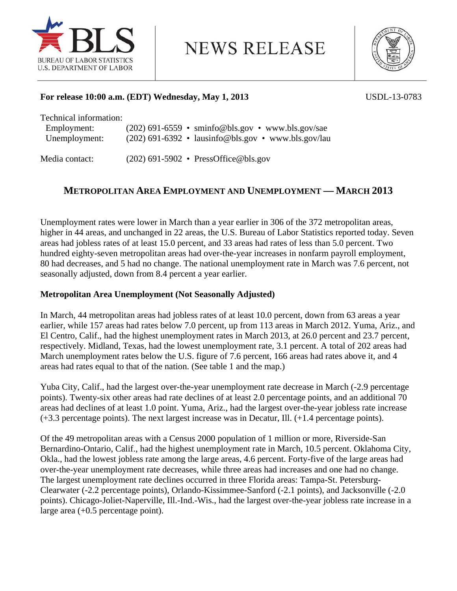

**NEWS RELEASE** 



## **For release 10:00 a.m. (EDT) Wednesday, May 1, 2013** USDL-13-0783

Technical information:

| Employment:   | $(202)$ 691-6559 • sminfo@bls.gov • www.bls.gov/sae   |
|---------------|-------------------------------------------------------|
| Unemployment: | $(202)$ 691-6392 • lausinfo@bls.gov • www.bls.gov/lau |

Media contact: (202) 691-5902 • PressOffice@bls.gov

## **METROPOLITAN AREA EMPLOYMENT AND UNEMPLOYMENT — MARCH 2013**

Unemployment rates were lower in March than a year earlier in 306 of the 372 metropolitan areas, higher in 44 areas, and unchanged in 22 areas, the U.S. Bureau of Labor Statistics reported today. Seven areas had jobless rates of at least 15.0 percent, and 33 areas had rates of less than 5.0 percent. Two hundred eighty-seven metropolitan areas had over-the-year increases in nonfarm payroll employment, 80 had decreases, and 5 had no change. The national unemployment rate in March was 7.6 percent, not seasonally adjusted, down from 8.4 percent a year earlier.

## **Metropolitan Area Unemployment (Not Seasonally Adjusted)**

In March, 44 metropolitan areas had jobless rates of at least 10.0 percent, down from 63 areas a year earlier, while 157 areas had rates below 7.0 percent, up from 113 areas in March 2012. Yuma, Ariz., and El Centro, Calif., had the highest unemployment rates in March 2013, at 26.0 percent and 23.7 percent, respectively. Midland, Texas, had the lowest unemployment rate, 3.1 percent. A total of 202 areas had March unemployment rates below the U.S. figure of 7.6 percent, 166 areas had rates above it, and 4 areas had rates equal to that of the nation. (See table 1 and the map.)

Yuba City, Calif., had the largest over-the-year unemployment rate decrease in March (-2.9 percentage points). Twenty-six other areas had rate declines of at least 2.0 percentage points, and an additional 70 areas had declines of at least 1.0 point. Yuma, Ariz., had the largest over-the-year jobless rate increase (+3.3 percentage points). The next largest increase was in Decatur, Ill. (+1.4 percentage points).

Of the 49 metropolitan areas with a Census 2000 population of 1 million or more, Riverside-San Bernardino-Ontario, Calif., had the highest unemployment rate in March, 10.5 percent. Oklahoma City, Okla., had the lowest jobless rate among the large areas, 4.6 percent. Forty-five of the large areas had over-the-year unemployment rate decreases, while three areas had increases and one had no change. The largest unemployment rate declines occurred in three Florida areas: Tampa-St. Petersburg-Clearwater (-2.2 percentage points), Orlando-Kissimmee-Sanford (-2.1 points), and Jacksonville (-2.0 points). Chicago-Joliet-Naperville, Ill.-Ind.-Wis., had the largest over-the-year jobless rate increase in a large area (+0.5 percentage point).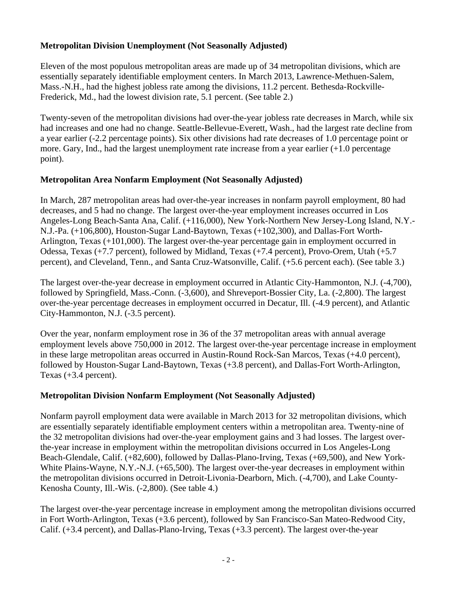## **Metropolitan Division Unemployment (Not Seasonally Adjusted)**

Eleven of the most populous metropolitan areas are made up of 34 metropolitan divisions, which are essentially separately identifiable employment centers. In March 2013, Lawrence-Methuen-Salem, Mass.-N.H., had the highest jobless rate among the divisions, 11.2 percent. Bethesda-Rockville-Frederick, Md., had the lowest division rate, 5.1 percent. (See table 2.)

Twenty-seven of the metropolitan divisions had over-the-year jobless rate decreases in March, while six had increases and one had no change. Seattle-Bellevue-Everett, Wash., had the largest rate decline from a year earlier (-2.2 percentage points). Six other divisions had rate decreases of 1.0 percentage point or more. Gary, Ind., had the largest unemployment rate increase from a year earlier (+1.0 percentage point).

## **Metropolitan Area Nonfarm Employment (Not Seasonally Adjusted)**

In March, 287 metropolitan areas had over-the-year increases in nonfarm payroll employment, 80 had decreases, and 5 had no change. The largest over-the-year employment increases occurred in Los Angeles-Long Beach-Santa Ana, Calif. (+116,000), New York-Northern New Jersey-Long Island, N.Y.- N.J.-Pa. (+106,800), Houston-Sugar Land-Baytown, Texas (+102,300), and Dallas-Fort Worth-Arlington, Texas (+101,000). The largest over-the-year percentage gain in employment occurred in Odessa, Texas (+7.7 percent), followed by Midland, Texas (+7.4 percent), Provo-Orem, Utah (+5.7 percent), and Cleveland, Tenn., and Santa Cruz-Watsonville, Calif. (+5.6 percent each). (See table 3.)

The largest over-the-year decrease in employment occurred in Atlantic City-Hammonton, N.J. (-4,700), followed by Springfield, Mass.-Conn. (-3,600), and Shreveport-Bossier City, La. (-2,800). The largest over-the-year percentage decreases in employment occurred in Decatur, Ill. (-4.9 percent), and Atlantic City-Hammonton, N.J. (-3.5 percent).

Over the year, nonfarm employment rose in 36 of the 37 metropolitan areas with annual average employment levels above 750,000 in 2012. The largest over-the-year percentage increase in employment in these large metropolitan areas occurred in Austin-Round Rock-San Marcos, Texas (+4.0 percent), followed by Houston-Sugar Land-Baytown, Texas (+3.8 percent), and Dallas-Fort Worth-Arlington, Texas (+3.4 percent).

## **Metropolitan Division Nonfarm Employment (Not Seasonally Adjusted)**

Nonfarm payroll employment data were available in March 2013 for 32 metropolitan divisions, which are essentially separately identifiable employment centers within a metropolitan area. Twenty-nine of the 32 metropolitan divisions had over-the-year employment gains and 3 had losses. The largest overthe-year increase in employment within the metropolitan divisions occurred in Los Angeles-Long Beach-Glendale, Calif. (+82,600), followed by Dallas-Plano-Irving, Texas (+69,500), and New York-White Plains-Wayne, N.Y.-N.J. (+65,500). The largest over-the-year decreases in employment within the metropolitan divisions occurred in Detroit-Livonia-Dearborn, Mich. (-4,700), and Lake County-Kenosha County, Ill.-Wis. (-2,800). (See table 4.)

The largest over-the-year percentage increase in employment among the metropolitan divisions occurred in Fort Worth-Arlington, Texas (+3.6 percent), followed by San Francisco-San Mateo-Redwood City, Calif. (+3.4 percent), and Dallas-Plano-Irving, Texas (+3.3 percent). The largest over-the-year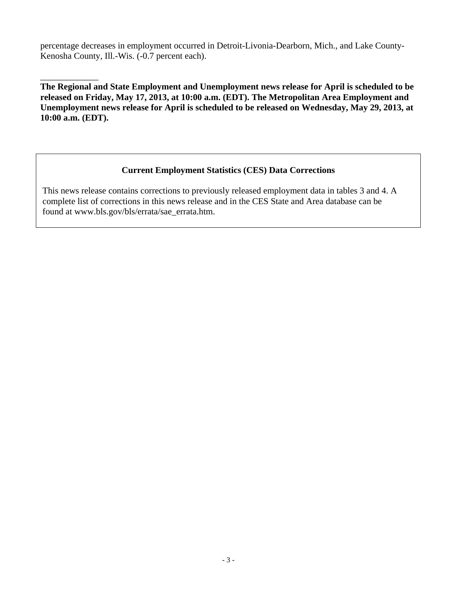percentage decreases in employment occurred in Detroit-Livonia-Dearborn, Mich., and Lake County-Kenosha County, Ill.-Wis. (-0.7 percent each).

\_\_\_\_\_\_\_\_\_\_\_\_\_ **The Regional and State Employment and Unemployment news release for April is scheduled to be released on Friday, May 17, 2013, at 10:00 a.m. (EDT). The Metropolitan Area Employment and Unemployment news release for April is scheduled to be released on Wednesday, May 29, 2013, at 10:00 a.m. (EDT).** 

## **Current Employment Statistics (CES) Data Corrections**

 This news release contains corrections to previously released employment data in tables 3 and 4. A complete list of corrections in this news release and in the CES State and Area database can be found at www.bls.gov/bls/errata/sae\_errata.htm.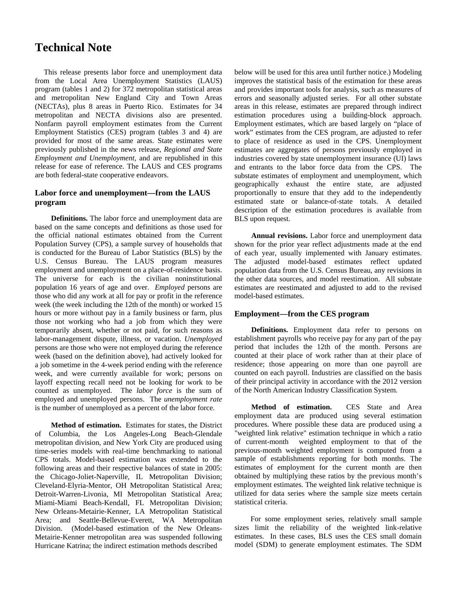## **Technical Note**

This release presents labor force and unemployment data from the Local Area Unemployment Statistics (LAUS) program (tables 1 and 2) for 372 metropolitan statistical areas and metropolitan New England City and Town Areas (NECTAs), plus 8 areas in Puerto Rico. Estimates for 34 metropolitan and NECTA divisions also are presented. Nonfarm payroll employment estimates from the Current Employment Statistics (CES) program (tables 3 and 4) are provided for most of the same areas. State estimates were previously published in the news release, *Regional and State Employment and Unemployment,* and are republished in this release for ease of reference. The LAUS and CES programs are both federal-state cooperative endeavors.

## **Labor force and unemployment—from the LAUS program**

**Definitions.** The labor force and unemployment data are based on the same concepts and definitions as those used for the official national estimates obtained from the Current Population Survey (CPS), a sample survey of households that is conducted for the Bureau of Labor Statistics (BLS) by the U.S. Census Bureau. The LAUS program measures employment and unemployment on a place-of-residence basis. The universe for each is the civilian noninstitutional population 16 years of age and over. *Employed* persons are those who did any work at all for pay or profit in the reference week (the week including the 12th of the month) or worked 15 hours or more without pay in a family business or farm, plus those not working who had a job from which they were temporarily absent, whether or not paid, for such reasons as labor-management dispute, illness, or vacation. *Unemployed* persons are those who were not employed during the reference week (based on the definition above), had actively looked for a job sometime in the 4-week period ending with the reference week, and were currently available for work; persons on layoff expecting recall need not be looking for work to be counted as unemployed. The *labor force* is the sum of employed and unemployed persons. The *unemployment rate* is the number of unemployed as a percent of the labor force.

**Method of estimation.** Estimates for states, the District of Columbia, the Los Angeles-Long Beach-Glendale metropolitan division, and New York City are produced using time-series models with real-time benchmarking to national CPS totals. Model-based estimation was extended to the following areas and their respective balances of state in 2005: the Chicago-Joliet-Naperville, IL Metropolitan Division; Cleveland-Elyria-Mentor, OH Metropolitan Statistical Area; Detroit-Warren-Livonia, MI Metropolitan Statistical Area; Miami-Miami Beach-Kendall, FL Metropolitan Division; New Orleans-Metairie-Kenner, LA Metropolitan Statistical Area; and Seattle-Bellevue-Everett, WA Metropolitan Division. (Model-based estimation of the New Orleans-Metairie-Kenner metropolitan area was suspended following Hurricane Katrina; the indirect estimation methods described

below will be used for this area until further notice.) Modeling improves the statistical basis of the estimation for these areas and provides important tools for analysis, such as measures of errors and seasonally adjusted series. For all other substate areas in this release, estimates are prepared through indirect estimation procedures using a building-block approach. Employment estimates, which are based largely on "place of work" estimates from the CES program, are adjusted to refer to place of residence as used in the CPS. Unemployment estimates are aggregates of persons previously employed in industries covered by state unemployment insurance (UI) laws and entrants to the labor force data from the CPS. The substate estimates of employment and unemployment, which geographically exhaust the entire state, are adjusted proportionally to ensure that they add to the independently estimated state or balance-of-state totals. A detailed description of the estimation procedures is available from BLS upon request.

**Annual revisions.** Labor force and unemployment data shown for the prior year reflect adjustments made at the end of each year, usually implemented with January estimates. The adjusted model-based estimates reflect updated population data from the U.S. Census Bureau, any revisions in the other data sources, and model reestimation. All substate estimates are reestimated and adjusted to add to the revised model-based estimates.

## **Employment—from the CES program**

**Definitions.** Employment data refer to persons on establishment payrolls who receive pay for any part of the pay period that includes the 12th of the month. Persons are counted at their place of work rather than at their place of residence; those appearing on more than one payroll are counted on each payroll. Industries are classified on the basis of their principal activity in accordance with the 2012 version of the North American Industry Classification System.

**Method of estimation.** CES State and Area employment data are produced using several estimation procedures. Where possible these data are produced using a "weighted link relative" estimation technique in which a ratio of current-month weighted employment to that of the previous-month weighted employment is computed from a sample of establishments reporting for both months. The estimates of employment for the current month are then obtained by multiplying these ratios by the previous month's employment estimates. The weighted link relative technique is utilized for data series where the sample size meets certain statistical criteria.

For some employment series, relatively small sample sizes limit the reliability of the weighted link-relative estimates. In these cases, BLS uses the CES small domain model (SDM) to generate employment estimates. The SDM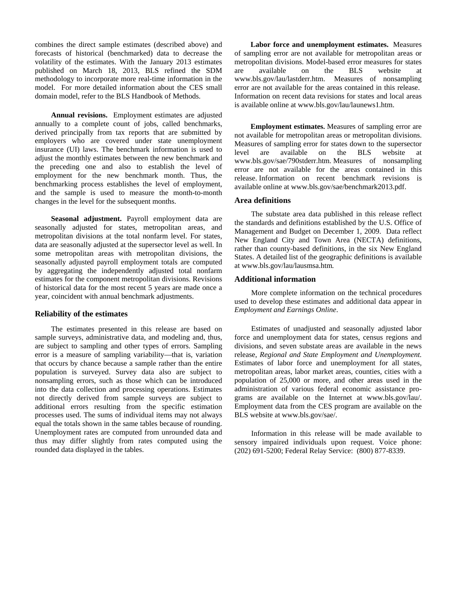combines the direct sample estimates (described above) and forecasts of historical (benchmarked) data to decrease the volatility of the estimates. With the January 2013 estimates published on March 18, 2013, BLS refined the SDM methodology to incorporate more real-time information in the model. For more detailed information about the CES small domain model, refer to the BLS Handbook of Methods.

**Annual revisions.** Employment estimates are adjusted annually to a complete count of jobs, called benchmarks, derived principally from tax reports that are submitted by employers who are covered under state unemployment insurance (UI) laws. The benchmark information is used to adjust the monthly estimates between the new benchmark and the preceding one and also to establish the level of employment for the new benchmark month. Thus, the benchmarking process establishes the level of employment, and the sample is used to measure the month-to-month changes in the level for the subsequent months.

**Seasonal adjustment.** Payroll employment data are seasonally adjusted for states, metropolitan areas, and metropolitan divisions at the total nonfarm level. For states, data are seasonally adjusted at the supersector level as well. In some metropolitan areas with metropolitan divisions, the seasonally adjusted payroll employment totals are computed by aggregating the independently adjusted total nonfarm estimates for the component metropolitan divisions. Revisions of historical data for the most recent 5 years are made once a year, coincident with annual benchmark adjustments.

#### **Reliability of the estimates**

The estimates presented in this release are based on sample surveys, administrative data, and modeling and, thus, are subject to sampling and other types of errors. Sampling error is a measure of sampling variability—that is, variation that occurs by chance because a sample rather than the entire population is surveyed. Survey data also are subject to nonsampling errors, such as those which can be introduced into the data collection and processing operations. Estimates not directly derived from sample surveys are subject to additional errors resulting from the specific estimation processes used. The sums of individual items may not always equal the totals shown in the same tables because of rounding. Unemployment rates are computed from unrounded data and thus may differ slightly from rates computed using the rounded data displayed in the tables.

**Labor force and unemployment estimates.** Measures of sampling error are not available for metropolitan areas or metropolitan divisions. Model-based error measures for states are available on the BLS website at www.bls.gov/lau/lastderr.htm. Measures of nonsampling error are not available for the areas contained in this release. Information on recent data revisions for states and local areas is available online at www.bls.gov/lau/launews1.htm.

**Employment estimates.** Measures of sampling error are not available for metropolitan areas or metropolitan divisions. Measures of sampling error for states down to the supersector level are available on the BLS website at www.bls.gov/sae/790stderr.htm. Measures of nonsampling error are not available for the areas contained in this release. Information on recent benchmark revisions is available online at www.bls.gov/sae/benchmark2013.pdf.

### **Area definitions**

The substate area data published in this release reflect the standards and definitions established by the U.S. Office of Management and Budget on December 1, 2009. Data reflect New England City and Town Area (NECTA) definitions, rather than county-based definitions, in the six New England States. A detailed list of the geographic definitions is available at www.bls.gov/lau/lausmsa.htm*.* 

#### **Additional information**

More complete information on the technical procedures used to develop these estimates and additional data appear in *Employment and Earnings Online*.

Estimates of unadjusted and seasonally adjusted labor force and unemployment data for states, census regions and divisions, and seven substate areas are available in the news release, *Regional and State Employment and Unemployment.*  Estimates of labor force and unemployment for all states, metropolitan areas, labor market areas, counties, cities with a population of 25,000 or more, and other areas used in the administration of various federal economic assistance programs are available on the Internet at www.bls.gov/lau/. Employment data from the CES program are available on the BLS website at www.bls.gov/sae/.

Information in this release will be made available to sensory impaired individuals upon request. Voice phone: (202) 691-5200; Federal Relay Service: (800) 877-8339.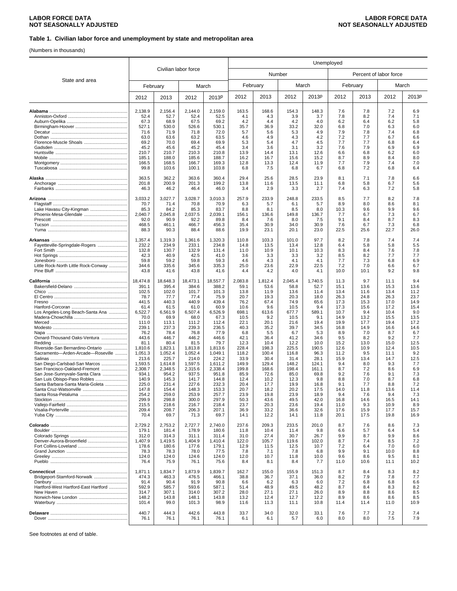### **Table 1. Civilian labor force and unemployment by state and metropolitan area**

(Numbers in thousands)

|                                                                |                    |                    |                      |                    | Unemployed     |               |                |               |              |                        |              |              |
|----------------------------------------------------------------|--------------------|--------------------|----------------------|--------------------|----------------|---------------|----------------|---------------|--------------|------------------------|--------------|--------------|
|                                                                |                    |                    | Civilian labor force |                    |                | Number        |                |               |              | Percent of labor force |              |              |
| State and area                                                 |                    | February           |                      | March              | February       |               |                | March         |              | February               |              | March        |
|                                                                | 2012               | 2013               | 2012                 | 2013P              | 2012           | 2013          | 2012           | 2013P         | 2012         | 2013                   | 2012         | 2013P        |
|                                                                | 2,138.9            | 2,156.4            | 2,144.0              | 2,159.0            | 163.5          | 168.6         | 154.3          | 148.3         | 7.6          | 7.8                    | 7.2          | 6.9          |
|                                                                | 52.4               | 52.7               | 52.4                 | 52.5               | 4.1            | 4.3           | 3.9            | 3.7           | 7.8          | 8.2                    | 7.4          | 7.1          |
|                                                                | 67.3<br>527.1      | 68.9<br>530.0      | 67.5<br>526.6        | 69.2               | 4.2<br>35.7    | 4.4<br>36.9   | 4.2<br>33.2    | 4.0<br>32.0   | 6.2<br>6.8   | 6.4<br>7.0             | 6.2<br>6.3   | 5.8          |
|                                                                | 71.6               | 71.9               | 71.8                 | 530.1<br>72.0      | 5.7            | 5.6           | 5.3            | 4.9           | 7.9          | 7.8                    | 7.4          | 6.0<br>6.8   |
|                                                                | 63.0               | 63.6               | 63.2                 | 63.5               | 4.6            | 4.9           | 4.3            | 4.2           | 7.2          | 7.7                    | 6.7          | 6.6          |
| Florence-Muscle Shoals                                         | 69.2               | 70.0               | 69.4                 | 69.9               | 5.3            | 5.4           | 4.7            | 4.5           | 7.7          | 7.7                    | 6.8          | 6.4          |
|                                                                | 45.2               | 45.6               | 45.2                 | 45.4               | 3.4            | 3.6           | 3.1            | 3.2           | 7.6          | 7.9                    | 6.9          | 6.9          |
|                                                                | 210.7<br>185.1     | 210.7<br>188.0     | 210.3<br>185.6       | 210.8<br>188.7     | 13.9<br>16.2   | 14.4<br>16.7  | 13.1<br>15.6   | 12.6<br>15.2  | 6.6<br>8.7   | 6.8<br>8.9             | 6.2<br>8.4   | 6.0<br>8.0   |
|                                                                | 166.5              | 168.5              | 166.7                | 169.3              | 12.8           | 13.3          | 12.4           | 11.9          | 7.7          | 7.9                    | 7.4          | 7.0          |
|                                                                | 99.8               | 103.6              | 100.1                | 103.8              | 6.8            | 7.5           | 6.8            | 6.7           | 6.8          | 7.2                    | 6.8          | 6.4          |
|                                                                | 363.5              | 362.2              | 363.6                | 360.4              | 29.4           | 25.6          | 28.5           | 23.9          | 8.1          | 7.1                    | 7.8          | 6.6          |
|                                                                | 201.8              | 200.9              | 201.3                | 199.2              | 13.8           | 11.6          | 13.5           | 11.1          | 6.8          | 5.8                    | 6.7          | 5.6          |
|                                                                | 46.3               | 46.2               | 46.4                 | 46.0               | 3.4            | 2.9           | 3.3            | 2.7           | 7.4          | 6.3                    | 7.2          | 5.8          |
|                                                                | 3,033.2            | 3,027.7            | 3,028.7              | 3,010.3            | 257.9          | 233.9         | 248.8          | 233.5         | 8.5          | 7.7                    | 8.2          | 7.8          |
| Lake Havasu City-Kingman                                       | 70.7<br>85.3       | 71.4<br>84.2       | 70.8<br>85.3         | 70.9<br>83.7       | 6.3<br>8.8     | 5.7<br>8.1    | 6.1<br>8.5     | 5.7<br>8.0    | 8.9<br>10.3  | 8.0<br>9.6             | 8.6<br>9.9   | 8.1<br>9.6   |
| Phoenix-Mesa-Glendale                                          | 2,040.7            | 2,045.8            | 2,037.5              | 2,039.1            | 156.1          | 136.6         | 149.8          | 136.7         | 7.7          | 6.7                    | 7.3          | 6.7          |
|                                                                | 92.0               | 90.9               | 92.2                 | 89.8               | 8.4            | 7.6           | 8.0            | 7.5           | 9.1          | 8.4                    | 8.7          | 8.3          |
|                                                                | 468.5<br>88.3      | 461.1<br>90.3      | 466.7<br>88.4        | 456.3<br>88.6      | 35.4<br>19.9   | 30.9<br>23.1  | 34.0<br>20.1   | 30.9<br>23.0  | 7.6<br>22.5  | 6.7<br>25.6            | 7.3<br>22.7  | 6.8<br>26.0  |
|                                                                |                    |                    |                      |                    |                |               |                |               |              |                        |              |              |
| Fayetteville-Springdale-Rogers                                 | 1,357.4<br>232.2   | 1,319.3<br>234.9   | 1,361.6<br>233.1     | 1,320.3<br>234.8   | 110.8<br>14.8  | 103.3<br>13.5 | 101.0<br>13.4  | 97.7<br>12.8  | 8.2<br>6.4   | 7.8<br>5.8             | 7.4<br>5.8   | 7.4<br>5.5   |
|                                                                | 132.8              | 130.7              | 132.9                | 131.4              | 11.0           | 10.9          | 10.1           | 10.3          | 8.3          | 8.4                    | 7.6          | 7.8          |
|                                                                | 42.3               | 40.9               | 42.5                 | 41.0               | 3.6            | 3.3           | 3.3            | 3.2           | 8.5          | 8.2                    | 7.7          | 7.7          |
|                                                                | 59.8               | 59.2               | 59.8                 | 59.3               | 4.6            | 4.3           | 4.1            | 4.1           | 7.7          | 7.3                    | 6.8          | 6.9          |
| Little Rock-North Little Rock-Conway                           | 344.6<br>43.8      | 335.6<br>41.6      | 345.6<br>43.8        | 335.3<br>41.6      | 25.0<br>4.4    | 23.6<br>4.2   | 22.9<br>4.0    | 22.5<br>4.1   | 7.2<br>10.0  | 7.0<br>10.1            | 6.6<br>9.2   | 6.7<br>9.8   |
|                                                                | 18,474.8           | 18,648.3           | 18,473.1             | 18,557.7           | 2,083.8        | 1,812.4       | 2,045.4        | 1,740.5       | 11.3         | 9.7                    | 11.1         | 9.4          |
|                                                                | 391.1<br>102.5     | 395.4<br>102.0     | 384.6<br>101.7       | 388.2<br>101.3     | 59.1<br>13.8   | 53.6<br>11.9  | 58.8<br>13.6   | 52.7<br>11.4  | 15.1<br>13.4 | 13.6<br>11.6           | 15.3<br>13.4 | 13.6<br>11.2 |
|                                                                | 78.7               | 77.7               | 77.4                 | 75.9               | 20.7           | 19.3          | 20.3           | 18.0          | 26.3         | 24.8                   | 26.3         | 23.7         |
|                                                                | 441.5              | 440.3              | 440.9                | 439.4              | 76.2           | 67.4          | 74.9           | 65.6          | 17.3         | 15.3                   | 17.0         | 14.9         |
|                                                                | 61.4               | 61.5               | 61.0                 | 60.9               | 10.6           | 9.6           | 10.5           | 9.4           | 17.3         | 15.6                   | 17.2         | 15.4         |
| Los Angeles-Long Beach-Santa Ana                               | 6,522.7<br>70.0    | 6,561.9<br>69.9    | 6,507.4<br>68.0      | 6,526.9<br>67.3    | 698.1<br>10.5  | 613.6<br>9.2  | 677.7<br>10.5  | 589.1<br>9.1  | 10.7<br>14.9 | 9.4<br>13.2            | 10.4<br>15.5 | 9.0<br>13.5  |
|                                                                | 111.0              | 113.1              | 111.2                | 112.4              | 22.1           | 20.1          | 21.6           | 19.4          | 19.9         | 17.7                   | 19.4         | 17.2         |
|                                                                | 239.1              | 237.3              | 239.3                | 236.5              | 40.3           | 35.2          | 39.7           | 34.5          | 16.8         | 14.9                   | 16.6         | 14.6         |
|                                                                | 76.2               | 78.4               | 76.8                 | 77.9               | 6.8            | 5.5           | 6.7            | 5.3           | 8.9          | 7.0                    | 8.7          | 6.7          |
| Oxnard-Thousand Oaks-Ventura                                   | 443.6<br>81.1      | 446.7<br>80.4      | 446.2<br>81.5        | 446.6<br>79.7      | 42.1<br>12.3   | 36.4<br>10.4  | 41.2<br>12.2   | 34.6<br>10.0  | 9.5<br>15.2  | 8.2<br>13.0            | 9.2<br>15.0  | 7.7<br>12.5  |
| Riverside-San Bernardino-Ontario                               | 1.810.6            | 1,823.1            | 1.813.8              | 1,813.6            | 228.4          | 198.3         | 225.5          | 190.5         | 12.6         | 10.9                   | 12.4         | 10.5         |
| Sacramento-Arden-Arcade-Roseville                              | 1,051.3            | 1,052.4            | 1,052.4              | 1,049.1            | 118.2          | 100.4         | 116.8          | 96.3          | 11.2         | 9.5                    | 11.1         | 9.2          |
|                                                                | 213.6              | 225.7              | 214.0                | 224.2              | 33.9           | 30.4<br>129.4 | 31.4           | 28.1<br>124.1 | 15.9<br>9.4  | 13.4<br>8.0            | 14.7<br>9.3  | 12.5<br>7.7  |
| San Diego-Carlsbad-San Marcos<br>San Francisco-Oakland-Fremont | 1,593.5<br>2,308.7 | 1,614.8<br>2,348.5 | 1,597.5<br>2,315.6   | 1,611.2<br>2,338.4 | 149.9<br>199.8 | 168.6         | 148.2<br>198.4 | 161.1         | 8.7          | 7.2                    | 8.6          | 6.9          |
| San Jose-Sunnyvale-Santa Clara                                 | 934.1              | 954.2              | 937.5                | 951.8              | 85.9           | 72.6          | 85.0           | 69.8          | 9.2          | 7.6                    | 9.1          | 7.3          |
| San Luis Obispo-Paso Robles                                    | 140.9              | 145.3              | 141.7                | 144.8              | 12.4           | 10.2          | 12.3           | 9.8           | 8.8          | 7.0                    | 8.7          | 6.8          |
| Santa Barbara-Santa Maria-Goleta                               | 225.0<br>147.8     | 231.4<br>154.4     | 227.6<br>148.3       | 232.3<br>153.3     | 20.4<br>20.7   | 17.7<br>18.2  | 19.9<br>20.2   | 16.8<br>17.5  | 9.1<br>14.U  | 7.7<br>11.8            | 8.8<br>13.6  | 7.2<br>11.4  |
|                                                                | 254.2              | 259.0              | 253.9                | 257.7              | 23.9           | 19.8          | 23.9           | 18.9          | 9.4          | 7.6                    | 9.4          | 7.3          |
|                                                                | 299.9              | 298.8              | 300.0                | 297.9              | 50.3           | 43.6          | 49.5           | 42.0          | 16.8         | 14.6                   | 16.5         | 14.1         |
|                                                                | 215.5              | 218.6              | 216.7                | 218.4              | 23.7           | 20.3          | 23.6           | 19.4          | 11.0         | 9.3                    | 10.9         | 8.9          |
|                                                                | 209.4<br>70.4      | 208.7<br>69.7      | 206.3<br>71.3        | 207.1<br>69.7      | 36.9<br>14.1   | 33.2<br>12.2  | 36.6<br>14.1   | 32.6<br>11.8  | 17.6<br>20.1 | 15.9<br>17.5           | 17.7<br>19.8 | 15.7<br>16.9 |
|                                                                |                    |                    |                      |                    |                |               |                |               |              |                        |              |              |
|                                                                | 2,729.2<br>179.1   | 2,753.2<br>181.4   | 2,727.7<br>178.9     | 2,740.0<br>180.6   | 237.6<br>11.8  | 209.3<br>10.4 | 233.5<br>11.4  | 201.0<br>9.8  | 8.7<br>6.6   | 7.6<br>5.7             | 8.6<br>6.4   | 7.3<br>5.4   |
|                                                                | 312.0              | 314.3              | 311.1                | 311.4              | 31.0           | 27.4          | 30.7           | 26.7          | 9.9          | 8.7                    | 9.9          | 8.6          |
| Denver-Aurora-Broomfield                                       | 1,407.9            | 1,419.5            | 1,404.9              | 1,410.4            | 122.0          | 105.7         | 119.6          | 102.0         | 8.7          | 7.4                    | 8.5          | 7.2          |
|                                                                | 178.6              | 180.6              | 177.6                | 179.1              | 12.9           | 11.5          | 12.5           | 10.7          | 7.2          | 6.4                    | 7.0          | 6.0          |
|                                                                | 78.3<br>124.0      | 78.3<br>124.0      | 78.0<br>124.6        | 77.5<br>124.0      | 7.8<br>12.0    | 7.1<br>10.7   | 7.8<br>11.8    | 6.8<br>10.0   | 9.9<br>9.6   | 9.1<br>8.6             | 10.0<br>9.5  | 8.8<br>8.1   |
|                                                                | 76.4               | 75.9               | 76.1                 | 75.6               | 8.4            | 8.1           | 8.4            | 7.7           | 11.0         | 10.6                   | 11.1         | 10.2         |
|                                                                | 1,871.1            | 1,834.7            | 1,873.9              | 1,839.7            | 162.7          | 155.0         | 155.9          | 151.3         | 8.7          | 8.4                    | 8.3          | 8.2          |
| Bridgeport-Stamford-Norwalk                                    | 474.3              | 463.3              | 476.5                | 466.1              | 38.8           | 36.7          | 37.1           | 36.0          | 8.2          | 7.9                    | 7.8          | 7.7          |
|                                                                | 91.4               | 90.4               | 91.9                 | 90.8               | 6.6            | 6.2           | 6.3            | 6.0           | 7.2          | 6.8                    | 6.8          | 6.6          |
| Hartford-West Hartford-East Hartford                           | 592.9<br>314.7     | 585.7<br>307.1     | 593.6<br>314.0       | 587.1<br>307.2     | 51.4<br>28.0   | 48.9<br>27.1  | 49.5<br>27.1   | 48.2<br>26.0  | 8.7<br>8.9   | 8.4<br>8.8             | 8.3<br>8.6   | 8.2<br>8.5   |
|                                                                | 148.2              | 143.8              | 148.1                | 143.8              | 13.2           | 12.4          | 12.7           | 12.2          | 8.9          | 8.6                    | 8.6          | 8.5          |
|                                                                | 101.4              | 99.0               | 101.3                | 98.9               | 11.6           | 11.3          | 11.1           | 10.8          | 11.4         | 11.4                   | 11.0         | 10.9         |
|                                                                | 440.7              | 444.3              | 442.6                | 443.8              | 33.7           | 34.0          | 32.0           | 33.1          | 7.6          | 7.7                    | 7.2          | 7.4          |
|                                                                | 76.1               | 76.1               | 76.1                 | 76.1               | 6.1            | 6.1           | 5.7            | 6.0           | 8.0          | 8.0                    | 7.5          | 7.9          |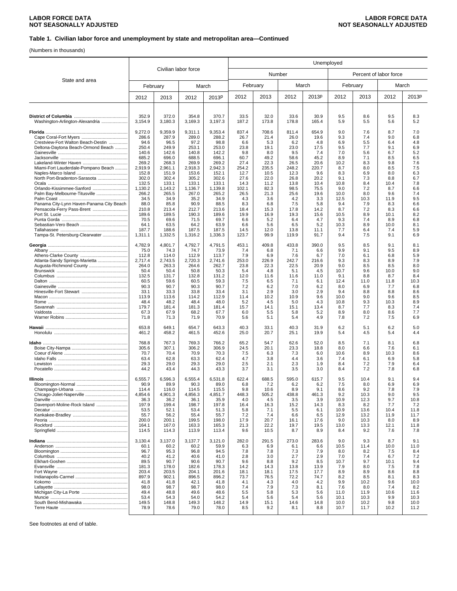### **Table 1. Civilian labor force and unemployment by state and metropolitan area—Continued**

(Numbers in thousands)

|                                                                          | Unemployed       |                  |                      |                  |               |               |               |               |              |                        |             |              |  |
|--------------------------------------------------------------------------|------------------|------------------|----------------------|------------------|---------------|---------------|---------------|---------------|--------------|------------------------|-------------|--------------|--|
|                                                                          |                  |                  | Civilian labor force |                  |               |               | Number        |               |              | Percent of labor force |             |              |  |
| State and area                                                           |                  | February         |                      | March            |               | February      |               | March         |              | February               |             | March        |  |
|                                                                          | 2012             | 2013             | 2012                 | 2013P            | 2012          | 2013          | 2012          | 2013P         | 2012         | 2013                   | 2012        | 2013P        |  |
|                                                                          | 352.9            | 372.0            | 354.8                | 370.7            | 33.5          | 32.0          | 33.6          | 30.9          | 9.5          | 8.6                    | 9.5         | 8.3          |  |
| Washington-Arlington-Alexandria                                          | 3,154.9          | 3,180.3          | 3,169.3              | 3,197.3          | 187.2         | 173.8         | 178.8         | 165.4         | 5.9          | 5.5                    | 5.6         | 5.2          |  |
|                                                                          | 9,272.0          | 9,359.9          | 9,311.1              | 9,353.4          | 837.4         | 708.6         | 811.4         | 654.9         | 9.0          | 7.6                    | 8.7         | 7.0          |  |
|                                                                          | 286.6            | 287.9            | 289.0                | 288.2            | 26.7          | 21.4          | 26.0          | 19.6          | 9.3          | 7.4                    | 9.0         | 6.8          |  |
| Crestview-Fort Walton Beach-Destin<br>Deltona-Daytona Beach-Ormond Beach | 94.6<br>250.4    | 96.5<br>249.9    | 97.2<br>253.1        | 98.8<br>253.0    | 6.6<br>23.8   | 5.3<br>19.1   | 6.2<br>23.0   | 4.8<br>17.5   | 6.9<br>9.5   | 5.5<br>7.7             | 6.4<br>9.1  | 4.8<br>6.9   |  |
|                                                                          | 140.6            | 142.6            | 140.8                | 142.2            | 9.8           | 8.0           | 9.5           | 7.4           | 7.0          | 5.6                    | 6.7         | 5.2          |  |
|                                                                          | 685.2            | 696.0            | 688.5                | 696.1            | 60.7          | 49.2          | 58.6          | 45.2          | 8.9          | 7.1                    | 8.5         | 6.5          |  |
| Miami-Fort Lauderdale-Pompano Beach                                      | 269.2<br>2,919.9 | 268.3<br>2,961.1 | 269.9<br>2,918.3     | 269.2<br>2,942.3 | 27.4<br>254.2 | 22.3<br>235.5 | 26.5<br>248.2 | 20.6<br>220.7 | 10.2<br>8.7  | 8.3<br>8.0             | 9.8<br>8.5  | 7.6<br>7.5   |  |
|                                                                          | 152.8            | 151.9            | 153.6                | 152.1            | 12.7          | 10.5          | 12.3          | 9.6           | 8.3          | 6.9                    | 8.0         | 6.3          |  |
| North Port-Bradenton-Sarasota                                            | 302.0            | 302.4            | 305.2                | 302.6            | 27.6          | 22.0          | 26.8          | 20.2          | 9.1          | 7.3                    | 8.8         | 6.7          |  |
| Orlando-Kissimmee-Sanford                                                | 132.5<br>1,130.2 | 133.1<br>1,143.2 | 133.1<br>1,136.7     | 133.1<br>1,139.8 | 14.3<br>102.1 | 11.2<br>82.3  | 13.8<br>98.5  | 10.4<br>75.5  | 10.8<br>9.0  | 8.4<br>7.2             | 10.4<br>8.7 | 7.8<br>6.6   |  |
| Palm Bay-Melbourne-Titusville                                            | 266.2            | 265.5            | 267.0                | 265.2            | 26.5          | 21.3          | 25.6          | 19.6          | 10.0         | 8.0                    | 9.6         | 7.4          |  |
|                                                                          | 34.5             | 34.9             | 35.2                 | 34.9             | 4.3           | 3.6           | 4.2           | 3.3           | 12.5         | 10.3                   | 11.9        | 9.5          |  |
| Panama City-Lynn Haven-Panama City Beach                                 | 88.0<br>210.8    | 85.8             | 90.9<br>212.7        | 88.5<br>213.6    | 8.3           | 6.8<br>15.3   | 7.5<br>17.8   | 5.8<br>14.2   | 9.4<br>8.7   | 7.9<br>7.2             | 8.3<br>8.3  | 6.6<br>6.6   |  |
|                                                                          | 189.6            | 213.4<br>189.5   | 190.3                | 189.6            | 18.4<br>19.9  | 16.9          | 19.3          | 15.6          | 10.5         | 8.9                    | 10.1        | 8.2          |  |
|                                                                          | 70.5             | 69.6             | 71.5                 | 69.7             | 6.6           | 5.2           | 6.4           | 4.7           | 9.3          | 7.4                    | 8.9         | 6.8          |  |
|                                                                          | 64.1             | 63.5             | 64.2                 | 63.9             | 6.6           | 5.6           | 6.5           | 5.2           | 10.3         | 8.9                    | 10.0        | 8.1          |  |
| Tampa-St. Petersburg-Clearwater                                          | 187.7<br>1,311.1 | 188.6<br>1,332.5 | 187.5<br>1,316.2     | 187.5<br>1,336.3 | 14.5<br>123.7 | 12.0<br>99.9  | 13.8<br>119.9 | 11.1<br>91.7  | 7.7<br>9.4   | 6.4<br>7.5             | 7.4<br>9.1  | 5.9<br>6.9   |  |
|                                                                          | 4,782.9          | 4,801.7          | 4,792.7              | 4,791.5          | 453.1         | 409.8         | 433.8         | 390.0         | 9.5          | 8.5                    | 9.1         | 8.1          |  |
|                                                                          | 75.0             | 74.3             | 74.7                 | 73.9             | 7.4           | 6.8           | 7.1           | 6.6           | 9.9          | 9.1                    | 9.5         | 8.9          |  |
| Atlanta-Sandy Springs-Marietta                                           | 112.8<br>2,717.4 | 114.0<br>2.743.5 | 112.9<br>2,720.3     | 113.7<br>2,741.6 | 7.9<br>253.0  | 6.9<br>226.9  | 7.6<br>242.7  | 6.7<br>216.6  | 7.0<br>9.3   | 6.1<br>8.3             | 6.8<br>8.9  | 5.9<br>7.9   |  |
| Augusta-Richmond County                                                  | 264.0            | 263.3            | 264.6                | 262.7            | 23.8          | 22.3          | 22.5          | 20.9          | 9.0          | 8.5                    | 8.5         | 8.0          |  |
|                                                                          | 50.4             | 50.4             | 50.8                 | 50.3             | 5.4           | 4.8           | 5.1           | 4.5           | 10.7         | 9.6                    | 10.0        | 9.0          |  |
|                                                                          | 132.5<br>60.5    | 131.7<br>59.6    | 132.8<br>60.5        | 131.2<br>59.3    | 12.0<br>7.5   | 11.6<br>6.5   | 11.6<br>7.1   | 11.0<br>6.1   | 9.1<br>12.4  | 8.8<br>11.0            | 8.7<br>11.8 | 8.4<br>10.3  |  |
|                                                                          | 90.3             | 90.7             | 90.3                 | 90.7             | 7.2           | 6.2           | 7.0           | 6.2           | 8.0          | 6.9                    | 7.7         | 6.8          |  |
|                                                                          | 33.1             | 33.3             | 33.8                 | 33.4             | 3.1           | 2.9           | 3.0           | 2.9           | 9.4          | 8.8                    | 8.8         | 8.6          |  |
|                                                                          | 113.9            | 113.6            | 114.2<br>48.4        | 112.9            | 11.4          | 10.2          | 10.9          | 9.6           | 10.0         | 9.0                    | 9.6         | 8.5          |  |
|                                                                          | 48.4<br>179.7    | 48.2<br>181.4    | 181.3                | 48.0<br>181.4    | 5.2<br>15.7   | 4.5<br>14.1   | 5.0<br>15.1   | 4.3<br>13.4   | 10.8<br>8.7  | 9.3<br>7.7             | 10.3<br>8.3 | 8.9<br>7.4   |  |
|                                                                          | 67.3             | 67.9             | 68.2                 | 67.7             | 6.0           | 5.5           | 5.8           | 5.2           | 8.9          | 8.0                    | 8.6         | 7.7          |  |
|                                                                          | 71.8             | 71.3             | 71.9                 | 70.9             | 5.6           | 5.1           | 5.4           | 4.9           | 7.8          | 7.2                    | 7.5         | 6.9          |  |
|                                                                          | 653.8<br>461.2   | 649.1<br>458.2   | 654.7<br>461.5       | 643.3<br>452.6   | 40.3<br>25.0  | 33.1<br>20.7  | 40.3<br>25.1  | 31.9<br>19.9  | 6.2<br>5.4   | 5.1<br>4.5             | 6.2<br>5.4  | 5.0<br>4.4   |  |
|                                                                          | 768.8            | 767.3            | 769.3                | 766.2            | 65.2          | 54.7          | 62.6          | 52.0          | 8.5          | 7.1                    | 8.1         | 6.8          |  |
|                                                                          | 305.6<br>70.7    | 307.1<br>70.4    | 306.2<br>70.9        | 306.9<br>70.3    | 24.5<br>7.5   | 20.1<br>6.3   | 23.3<br>7.3   | 18.8<br>6.0   | 8.0<br>10.6  | 6.6<br>8.9             | 7.6<br>10.3 | 6.1<br>8.6   |  |
|                                                                          | 63.4             | 62.8             | 63.3                 | 62.4             | 4.7           | 3.8           | 4.4           | 3.6           | 7.4          | 6.1                    | 6.9         | 5.8          |  |
|                                                                          | 29.3             | 29.0             | 29.3                 | 29.0             | 2.5           | 2.1           | 2.3           | 1.9           | 8.4          | 7.2                    | 7.9         | 6.4          |  |
|                                                                          | 44.2             | 43.4             | 44.3                 | 43.3             | 3.7           | 3.1           | 3.5           | 3.0           | 8.4          | 7.2                    | 7.8         | 6.8          |  |
|                                                                          | 6,555.7<br>90.9  | 6,596.3<br>89.9  | 6,555.4<br>90.3      | 6,531.8<br>89.0  | 622.4<br>6.8  | 688.5<br>7.2  | 595.0<br>6.2  | 615.7<br>6.2  | 9.5<br>7.5   | 10.4<br>8.0            | 9.1<br>6.9  | 9.4<br>6.9   |  |
|                                                                          | 114.4            | 116.0            | 114.5                | 115.5            | 9.8           | 10.6          | 8.9           | 9.1           | 8.6          | 9.2                    | 7.8         | 7.9          |  |
|                                                                          | 4,854.6          | 4,901.3          | 4,856.3              | 4,851.7          | 448.3         | 505.2         | 438.8         | 461.3         | 9.2          | 10.3                   | 9.0         | 9.5          |  |
|                                                                          | 36.3             | 36.2             | 36.1                 | 35.9             | 4.0           | 4.5           | 3.5           | 3.9           | 10.9         | 12.3                   | 9.7         | 10.8         |  |
| Davenport-Moline-Rock Island                                             | 197.9<br>53.5    | 199.4<br>52.1    | 198.7<br>53.4        | 197.8<br>51.3    | 16.4<br>5.8   | 16.3<br>7.1   | 15.2<br>5.5   | 14.3<br>6.1   | 8.3<br>10.9  | 8.2<br>13.6            | 7.7<br>10.4 | 7.2<br>11.8  |  |
|                                                                          | 55.7             | 56.2             | 55.4                 | 55.7             | 7.2           | 7.4           | 6.6           | 6.5           | 12.9         | 13.2                   | 11.9        | 11.7         |  |
|                                                                          | 200.0            | 200.1            | 199.5                | 198.0            | 17.9          | 20.7          | 16.1          | 17.6          | 9.0          | 10.3                   | 8.0         | 8.9          |  |
|                                                                          | 164.1<br>114.5   | 167.0<br>114.3   | 163.3<br>113.9       | 165.3<br>113.4   | 21.3<br>9.6   | 22.2<br>10.5  | 19.7<br>8.7   | 19.5<br>8.9   | 13.0<br>8.4  | 13.3<br>9.2            | 12.1<br>7.6 | 11.8<br>7.8  |  |
|                                                                          | 3,130.4          | 3,137.0          | 3,137.7              | 3,121.0          | 282.0         | 291.5         | 273.0         | 283.6         | 9.0          | 9.3                    | 8.7         | 9.1          |  |
|                                                                          | 60.1             | 60.2             | 60.2                 | 59.9             | 6.3           | 6.9           | 6.1           | 6.6           | 10.5         | 11.4                   | 10.0        | 11.0         |  |
|                                                                          | 96.7<br>40.2     | 95.3<br>41.2     | 96.8<br>40.6         | 94.5<br>41.0     | 7.8<br>2.8    | 7.8<br>3.0    | 7.3<br>2.7    | 7.9<br>2.9    | 8.0<br>7.0   | 8.2<br>7.4             | 7.5<br>6.7  | 8.4<br>7.2   |  |
|                                                                          | 89.5             | 90.7             | 90.6                 | 90.7             | 9.6           | 8.8           | 9.2           | 8.5           | 10.7         | 9.7                    | 10.1        | 9.4          |  |
|                                                                          | 181.3            | 178.0            | 182.6                | 178.3            | 14.2          | 14.3          | 13.8          | 13.9          | 7.9          | 8.0                    | 7.5         | 7.8          |  |
|                                                                          | 203.4            | 203.5            | 204.1                | 201.6            | 18.1          | 18.1          | 17.5          | 17.7          | 8.9          | 8.9                    | 8.6         | 8.8          |  |
|                                                                          | 897.9<br>41.8    | 902.1<br>41.8    | 896.5<br>42.1        | 896.2<br>41.8    | 73.7<br>4.1   | 76.5<br>4.3   | 72.2<br>4.0   | 74.7<br>4.2   | 8.2<br>9.9   | 8.5<br>10.2            | 8.1<br>9.6  | 8.3<br>10.0  |  |
|                                                                          | 98.0             | 98.7             | 98.7                 | 98.0             | 7.4           | 7.9           | 7.3           | 8.1           | 7.6          | 8.0                    | 7.4         | 8.2          |  |
|                                                                          | 49.4             | 48.8             | 49.6                 | 48.6             | 5.5           | 5.8           | 5.3           | 5.6           | 11.0         | 11.9                   | 10.6        | 11.6         |  |
|                                                                          | 53.4<br>149.5    | 54.3<br>148.8    | 54.0<br>149.3        | 54.2<br>148.2    | 5.4<br>14.9   | 5.6<br>15.1   | 5.4<br>14.6   | 5.6<br>14.8   | 10.1<br>10.0 | 10.3<br>10.2           | 9.9<br>9.8  | 10.3<br>10.0 |  |
|                                                                          | 78.9             | 78.6             | 79.0                 | 78.0             | 8.5           | 9.2           | 8.1           | 8.8           | 10.7         | 11.7                   | 10.2        | 11.2         |  |
|                                                                          |                  |                  |                      |                  |               |               |               |               |              |                        |             |              |  |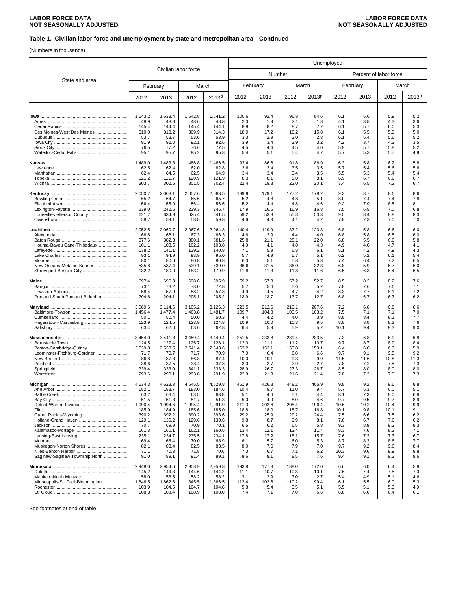### **Table 1. Civilian labor force and unemployment by state and metropolitan area—Continued**

(Numbers in thousands)

|                                   |                  |                  |                      |                  | Unemployed    |               |               |               |            |                        |            |            |  |
|-----------------------------------|------------------|------------------|----------------------|------------------|---------------|---------------|---------------|---------------|------------|------------------------|------------|------------|--|
| State and area                    |                  |                  | Civilian labor force |                  |               |               | Number        |               |            | Percent of labor force |            |            |  |
|                                   |                  | February         | March                |                  | February      |               | March         |               |            | February               |            | March      |  |
|                                   | 2012             | 2013             | 2012                 | 2013P            | 2012          | 2013          | 2012          | 2013P         | 2012       | 2013                   | 2012       | 2013P      |  |
|                                   |                  |                  |                      |                  |               |               |               |               |            |                        |            |            |  |
|                                   | 1,643.2<br>48.9  | 1,638.4<br>48.8  | 1,642.8<br>48.6      | 1,641.2<br>48.8  | 100.6<br>2.0  | 92.4<br>1.9   | 96.8<br>2.1   | 84.6<br>1.8   | 6.1<br>4.1 | 5.6<br>3.8             | 5.9<br>4.3 | 5.2<br>3.6 |  |
|                                   | 145.4            | 144.4            | 145.4                | 144.1            | 8.9           | 8.2           | 8.7           | 7.7           | 6.1        | 5.7                    | 6.0        | 5.3        |  |
| Des Moines-West Des Moines        | 310.0            | 313.2            | 309.9                | 314.3            | 18.9          | 17.2          | 18.2          | 15.8          | 6.1        | 5.5                    | 5.9        | 5.0        |  |
|                                   | 53.7<br>91.9     | 53.7<br>92.0     | 53.6<br>92.1         | 53.9<br>92.6     | 3.3<br>3.9    | 2.9<br>3.4    | 3.0<br>3.9    | 2.8<br>3.2    | 6.1<br>4.2 | 5.4<br>3.7             | 5.6<br>4.3 | 5.2<br>3.5 |  |
|                                   | 76.5             | 77.2             | 76.6                 | 77.5             | 4.5           | 4.4           | 4.5           | 4.0           | 5.9        | 5.7                    | 5.8        | 5.2        |  |
|                                   | 95.1             | 95.7             | 95.2                 | 95.8             | 5.4           | 5.1           | 5.4           | 4.7           | 5.7        | 5.3                    | 5.7        | 4.9        |  |
|                                   | 1,489.0          | 1,483.3          | 1,486.8              | 1,486.5          | 93.4          | 86.6          | 91.8          | 86.9          | 6.3        | 5.8                    | 6.2        | 5.8        |  |
|                                   | 62.5             | 62.4<br>64.5     | 62.0<br>62.5         | 62.8             | 3.6           | 3.4<br>3.4    | 3.5           | 3.5<br>3.5    | 5.7<br>5.5 | 5.4<br>5.3             | 5.6<br>5.4 | 5.6<br>5.4 |  |
|                                   | 62.4<br>121.2    | 121.7            | 120.9                | 64.9<br>121.9    | 3.4<br>8.3    | 8.1           | 3.4<br>8.0    | 8.1           | 6.9        | 6.7                    | 6.6        | 6.7        |  |
|                                   | 303.7            | 302.6            | 301.5                | 302.4            | 22.4          | 19.8          | 22.0          | 20.1          | 7.4        | 6.5                    | 7.3        | 6.7        |  |
|                                   | 2,050.7          | 2,063.1          | 2,057.6              | 2,083.5          | 189.9         | 179.1         | 177.2         | 178.2         | 9.3        | 8.7                    | 8.6        | 8.6        |  |
|                                   | 65.2<br>56.4     | 64.7<br>55.9     | 65.6<br>56.4         | 65.7<br>56.5     | 5.2<br>5.2    | 4.8<br>4.4    | 4.8<br>4.8    | 5.1<br>4.6    | 8.0<br>9.2 | 7.4<br>7.9             | 7.4<br>8.5 | 7.8<br>8.1 |  |
|                                   | 239.0            | 242.6            | 239.3                | 245.7            | 17.9          | 16.6          | 16.9          | 16.8          | 7.5        | 6.8                    | 7.0        | 6.8        |  |
| Louisville-Jefferson County       | 621.7            | 634.9            | 625.4                | 641.5            | 59.2          | 53.3          | 55.3          | 53.3          | 9.5        | 8.4                    | 8.8        | 8.3        |  |
|                                   | 58.7             | 59.1             | 58.8                 | 59.8             | 4.6           | 4.3           | 4.1           | 4.2           | 7.8        | 7.3                    | 7.0        | 7.0        |  |
|                                   | 2.052.5          | 2,060.7          | 2,067.6              | 2,064.8          | 140.4         | 119.9         | 137.2         | 123.8         | 6.8        | 5.8                    | 6.6        | 6.0        |  |
|                                   | 66.8<br>377.6    | 66.1<br>382.3    | 67.3<br>380.1        | 66.3<br>381.6    | 4.6<br>25.8   | 3.9<br>21.1   | 4.4<br>25.1   | 4.0<br>22.0   | 6.8<br>6.8 | 5.8<br>5.5             | 6.5<br>6.6 | 6.0<br>5.8 |  |
| Houma-Bayou Cane-Thibodaux        | 101.1            | 103.5            | 102.2                | 103.8            | 4.9           | 4.1           | 4.8           | 4.3           | 4.9        | 4.0                    | 4.7        | 4.1        |  |
|                                   | 138.2            | 141.1            | 139.2                | 140.8            | 7.1           | 5.9           | 6.8           | 6.1           | 5.1        | 4.2                    | 4.9        | 4.3        |  |
|                                   | 93.1<br>80.1     | 94.9<br>80.6     | 93.9<br>80.8         | 95.0<br>80.8     | 5.7<br>6.0    | 4.9<br>5.1    | 5.7<br>5.8    | 5.1<br>5.3    | 6.2<br>7.4 | 5.2<br>6.4             | 6.1<br>7.2 | 5.4<br>6.5 |  |
| New Orleans-Metairie-Kenner       | 535.8            | 537.4            | 539.1                | 539.0            | 36.6          | 31.5          | 36.0          | 32.3          | 6.8        | 5.9                    | 6.7        | 6.0        |  |
|                                   | 182.2            | 180.0            | 183.2                | 179.9            | 11.8          | 11.3          | 11.8          | 11.6          | 6.5        | 6.3                    | 6.4        | 6.5        |  |
|                                   | 697.4            | 696.0            | 698.6                | 695.9            | 59.2          | 57.3          | 57.2          | 52.7          | 8.5        | 8.2                    | 8.2        | 7.6        |  |
|                                   | 73.1<br>58.4     | 73.2<br>57.9     | 73.0<br>58.2         | 72.8<br>57.8     | 5.7<br>4.9    | 5.6<br>4.5    | 5.6<br>4.7    | 5.2<br>4.2    | 7.8<br>8.3 | 7.6<br>7.7             | 7.6<br>8.1 | 7.1<br>7.2 |  |
| Portland-South Portland-Biddeford | 204.6            | 204.1            | 205.1                | 205.2            | 13.9          | 13.7          | 13.7          | 12.7          | 6.8        | 6.7                    | 6.7        | 6.2        |  |
|                                   | 3,089.6          | 3,114.6          | 3,105.2              | 3,126.3          | 223.5         | 212.6         | 210.1         | 207.6         | 7.2        | 6.8                    | 6.8        | 6.6        |  |
|                                   | 1,456.4<br>50.1  | 1,477.4<br>50.4  | 1,463.8<br>50.0      | 1,481.7<br>50.3  | 109.7<br>4.4  | 104.8<br>4.2  | 103.5<br>4.0  | 103.2<br>3.9  | 7.5<br>8.8 | 7.1<br>8.4             | 7.1<br>8.1 | 7.0<br>7.7 |  |
|                                   | 123.9            | 124.5            | 123.9                | 124.8            | 10.9          | 10.0          | 10.3          | 9.5           | 8.8        | 8.0                    | 8.3        | 7.6        |  |
|                                   | 63.4             | 62.0             | 63.6                 | 62.8             | 6.4           | 5.9           | 5.9           | 5.7           | 10.1       | 9.4                    | 9.3        | 9.0        |  |
|                                   | 3,454.0          | 3,441.3          | 3,459.4              | 3,449.4          | 251.5         | 233.8         | 239.4         | 233.5         | 7.3        | 6.8                    | 6.9        | 6.8        |  |
| Boston-Cambridge-Quincy           | 124.5<br>2,539.8 | 127.4<br>2,538.5 | 125.7<br>2,541.4     | 128.1<br>2,543.6 | 12.0<br>163.2 | 11.1<br>152.1 | 11.2<br>153.8 | 10.7<br>150.1 | 9.7<br>6.4 | 8.7<br>6.0             | 8.9<br>6.0 | 8.4<br>5.9 |  |
| Leominster-Fitchburg-Gardner      | 71.7             | 70.7             | 71.7                 | 70.9             | 7.0           | 6.4           | 6.8           | 6.6           | 9.7        | 9.1                    | 9.5        | 9.2        |  |
|                                   | 86.8             | 87.3             | 86.8                 | 87.4             | 10.0          | 10.1          | 9.3           | 9.9           | 11.5       | 11.6                   | 10.8       | 11.3       |  |
|                                   | 38.6<br>339.4    | 37.5<br>333.0    | 38.4<br>341.1        | 37.3<br>333.3    | 3.0<br>28.9   | 2.7<br>26.7   | 2.9<br>27.3   | 2.7<br>26.7   | 7.8<br>8.5 | 7.2<br>8.0             | 7.5<br>8.0 | 7.3<br>8.0 |  |
|                                   | 293.6            | 290.1            | 293.8                | 291.9            | 22.8          | 21.3          | 21.6          | 21.4          | 7.8        | 7.3                    | 7.3        | 7.3        |  |
|                                   | 4,634.3          | 4,628.3          | 4,645.5              | 4,629.8          | 451.9         | 426.8         | 448.2         | 405.9         | 9.8        | 9.2                    | 9.6        | 8.8        |  |
|                                   | 182.1            | 183.7            | 183.0                | 184.6            | 10.4          | 9.7           | 11.0          | 9.4           | 5.7        | 5.3                    | 6.0        | 5.1        |  |
|                                   | 63.2<br>51.5     | 63.4<br>51.3     | 63.5<br>51.7         | 63.8<br>51.3     | 5.1<br>5.0    | 4.6<br>4.9    | 5.1<br>5.0    | 4.4<br>4.6    | 8.1<br>9.7 | 7.3<br>9.5             | 8.0<br>9.7 | 6.8<br>8.9 |  |
|                                   | 1,990.4          | 1,994.6          | 1,995.4              | 1,991.9          | 211.3         | 202.6         | 208.4         | 196.4         | 10.6       | 10.2                   | 10.4       | 9.9        |  |
|                                   | 185.9            | 184.9            | 185.6                | 185.0            | 18.8          | 18.0          | 18.7          | 16.8          | 10.1       | 9.8                    | 10.1       | 9.1        |  |
|                                   | 390.2            | 392.2            | 390.2                | 393.6            | 29.2          | 25.9          | 29.2          | 24.4          | 7.5        | 6.6                    | 7.5        | 6.2        |  |
|                                   | 129.1<br>70.7    | 130.2<br>69.9    | 129.6<br>70.9        | 130.6<br>70.1    | 9.8<br>6.5    | 8.7<br>6.2    | 9.9<br>6.5    | 8.1<br>5.8    | 7.6<br>9.3 | 6.7<br>8.8             | 7.6<br>9.2 | 6.2<br>8.3 |  |
|                                   | 161.3            | 160.1            | 162.1                | 160.6            | 13.4          | 12.1          | 13.4          | 11.4          | 8.3        | 7.6                    | 8.3        | 7.1        |  |
|                                   | 235.1<br>69.4    | 234.7<br>68.4    | 235.5<br>70.0        | 234.1<br>68.9    | 17.8<br>6.1   | 17.2<br>5.7   | 18.1<br>6.0   | 15.7          | 7.6<br>8.7 | 7.3<br>8.3             | 7.7<br>8.6 | 6.7        |  |
|                                   | 82.1             | 83.4             | 82.5                 | 83.5             | 8.0           | 7.6           | 7.9           | 5.3<br>7.0    | 9.7        | 9.2                    | 9.6        | 7.7<br>8.4 |  |
|                                   | 71.1             | 70.3             | 71.8                 | 70.6             | 7.3           | 6.7           | 7.1           | 6.2           | 10.3       | 9.6                    | 9.9        | 8.8        |  |
| Saginaw-Saginaw Township North    | 91.0             | 89.1             | 91.4                 | 89.1             | 8.6           | 8.1           | 8.5           | 7.6           | 9.4        | 9.1                    | 9.3        | 8.6        |  |
|                                   | 2,948.0          | 2,954.6          | 2.958.9              | 2,959.8          | 193.8         | 177.3         | 188.0         | 172.0         | 6.6        | 6.0                    | 6.4        | 5.8        |  |
|                                   | 145.2<br>58.0    | 144.3<br>58.5    | 144.6<br>58.2        | 144.2<br>58.2    | 11.1<br>3.1   | 10.7<br>2.9   | 10.8<br>3.0   | 10.1<br>2.7   | 7.6<br>5.4 | 7.4<br>4.9             | 7.5<br>5.1 | 7.0<br>4.6 |  |
| Minneapolis-St. Paul-Bloomington  | 1,846.5          | 1,862.6          | 1,845.5              | 1,866.5          | 113.4         | 102.6         | 110.2         | 99.4          | 6.1        | 5.5                    | 6.0        | 5.3        |  |
|                                   | 103.9            | 104.5            | 104.7                | 104.6            | 5.8           | 5.4           | 5.5           | 5.1           | 5.5        | 5.1                    | 5.3        | 4.9        |  |
|                                   | 108.3            | 108.4            | 108.9                | 108.0            | 7.4           | 7.1           | 7.0           | 6.6           | 6.8        | 6.6                    | 6.4        | 6.1        |  |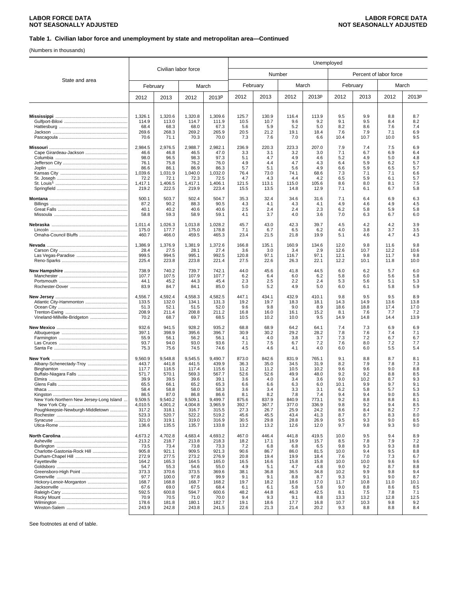### **Table 1. Civilian labor force and unemployment by state and metropolitan area—Continued**

(Numbers in thousands)

|                                          |                  | Unemployed       |                      |                  |               |               |               |               |                        |             |              |             |  |
|------------------------------------------|------------------|------------------|----------------------|------------------|---------------|---------------|---------------|---------------|------------------------|-------------|--------------|-------------|--|
|                                          |                  |                  | Civilian labor force |                  |               |               | Number        |               | Percent of labor force |             |              |             |  |
| State and area                           |                  | February         |                      | March            |               | February      |               | March         |                        | February    |              | March       |  |
|                                          | 2012             | 2013             | 2012                 | 2013P            | 2012          | 2013          | 2012          | 2013P         | 2012                   | 2013        | 2012         | 2013P       |  |
|                                          | 1,326.1          | 1,320.6          | 1,320.8              | 1,309.6          | 125.7         | 130.9         | 116.4         | 113.9         | 9.5                    | 9.9         | 8.8          | 8.7         |  |
|                                          | 114.9<br>68.4    | 113.0<br>68.3    | 114.7<br>68.0        | 111.9<br>67.3    | 10.5<br>5.6   | 10.7<br>5.9   | 9.6<br>5.2    | 9.2<br>5.0    | 9.1<br>8.2             | 9.5<br>8.6  | 8.4<br>7.6   | 8.2<br>7.4  |  |
|                                          | 269.6<br>70.6    | 268.3<br>71.1    | 269.2<br>70.3        | 265.9<br>70.0    | 20.5<br>7.3   | 21.2<br>7.6   | 19.1<br>7.0   | 18.4<br>6.6   | 7.6<br>10.4            | 7.9<br>10.7 | 7.1<br>10.0  | 6.9<br>9.5  |  |
|                                          | 2,984.5          | 2,976.5          | 2,988.7              | 2,982.1          | 236.9         | 220.3         | 223.3         | 207.0         | 7.9                    | 7.4         | 7.5          | 6.9         |  |
|                                          | 46.6             | 46.8             | 46.5                 | 47.0             | 3.3           | 3.1           | 3.2           | 3.0           | 7.1                    | 6.7         | 6.9          | 6.4         |  |
|                                          | 98.0<br>76.1     | 96.5<br>75.8     | 98.3<br>76.2         | 97.3<br>76.0     | 5.1<br>4.9    | 4.7<br>4.4    | 4.9<br>4.7    | 4.6<br>4.3    | 5.2<br>6.4             | 4.9<br>5.9  | 5.0<br>6.2   | 4.8<br>5.7  |  |
|                                          | 86.6             | 86.1             | 86.9                 | 86.3             | 5.7           | 5.1           | 5.6           | 4.9           | 6.6                    | 5.9         | 6.5          | 5.7         |  |
|                                          | 1,039.6<br>72.2  | 1,031.9<br>72.1  | 1,040.0<br>72.3      | 1,032.0<br>72.5  | 76.4<br>4.7   | 73.0<br>4.3   | 74.1<br>4.4   | 68.6<br>4.2   | 7.3<br>6.5             | 7.1<br>5.9  | 7.1<br>6.1   | 6.6<br>5.7  |  |
|                                          | 1,417.1<br>219.2 | 1,406.5<br>222.5 | 1,417.1<br>219.9     | 1,406.1<br>223.4 | 121.5<br>15.5 | 113.1<br>13.5 | 115.0<br>14.8 | 105.6<br>12.9 | 8.6<br>7.1             | 8.0<br>6.1  | 8.1<br>6.7   | 7.5<br>5.8  |  |
|                                          | 500.1            | 503.7            | 502.4                | 504.7            | 35.3          | 32.4          | 34.6          | 31.6          | 7.1                    | 6.4         | 6.9          | 6.3         |  |
|                                          | 87.2             | 90.2             | 88.3                 | 90.5             | 4.3           | 4.1           | 4.3           | 4.1           | 4.9                    | 4.6         | 4.9          | 4.5         |  |
|                                          | 40.1<br>58.8     | 40.2<br>59.3     | 40.6<br>58.9         | 40.6<br>59.1     | 2.5<br>4.1    | 2.4<br>3.7    | 2.4<br>4.0    | 2.3<br>3.6    | 6.2<br>7.0             | 5.8<br>6.3  | 5.9<br>6.7   | 5.8<br>6.0  |  |
|                                          | 1,011.4          | 1,026.3          | 1,013.8              | 1,028.2          | 45.7          | 43.0          | 42.3          | 39.7          | 4.5                    | 4.2         | 4.2          | 3.9         |  |
|                                          | 175.0<br>460.7   | 177.7<br>466.0   | 175.0<br>459.5       | 178.8<br>465.3   | 7.1<br>23.4   | 6.7<br>21.5   | 6.5<br>21.8   | 6.2<br>19.9   | 4.0<br>5.1             | 3.8<br>4.6  | 3.7<br>4.7   | 3.5<br>4.3  |  |
|                                          | 1,386.9          | 1,376.9          | 1,381.9              | 1,372.6          | 166.8         | 135.1         | 160.9         | 134.6         | 12.0                   | 9.8         | 11.6         | 9.8         |  |
|                                          | 28.4<br>999.5    | 27.5<br>994.5    | 28.1<br>995.1        | 27.4<br>992.5    | 3.6<br>120.8  | 3.0<br>97.1   | 3.4<br>116.7  | 2.9<br>97.1   | 12.6<br>12.1           | 10.7<br>9.8 | 12.2<br>11.7 | 10.6<br>9.8 |  |
|                                          | 225.4            | 223.8            | 223.8                | 221.4            | 27.5          | 22.6          | 26.3          | 22.1          | 12.2                   | 10.1        | 11.8         | 10.0        |  |
|                                          | 738.9            | 740.2            | 739.7                | 742.1            | 44.0          | 45.6          | 41.8          | 44.5          | 6.0                    | 6.2         | 5.7          | 6.0         |  |
|                                          | 107.7<br>44.1    | 107.5<br>45.2    | 107.9<br>44.3        | 107.7<br>45.4    | 6.2<br>2.3    | 6.4<br>2.5    | 6.0<br>2.2    | 6.2<br>2.4    | 5.8<br>5.3             | 6.0<br>5.6  | 5.6<br>5.1   | 5.8<br>5.3  |  |
|                                          | 83.9             | 84.7             | 84.1                 | 85.0             | 5.0           | 5.2           | 4.9           | 5.0           | 6.0                    | 6.1         | 5.8          | 5.9         |  |
|                                          | 4,556.7<br>133.5 | 4,592.4<br>132.0 | 4,558.3<br>134.1     | 4,582.5<br>131.3 | 447.1<br>19.2 | 434.1<br>19.7 | 432.9<br>18.3 | 410.1<br>18.1 | 9.8<br>14.3            | 9.5<br>14.9 | 9.5<br>13.6  | 8.9<br>13.8 |  |
|                                          | 51.3             | 52.1             | 51.5                 | 52.0             | 9.6           | 9.8           | 9.0           | 8.9           | 18.6                   | 18.8        | 17.4         | 17.0        |  |
| Vineland-Millville-Bridgeton             | 208.9<br>70.2    | 211.4<br>68.7    | 208.8<br>69.7        | 211.2<br>68.5    | 16.8<br>10.5  | 16.0<br>10.2  | 16.1<br>10.0  | 15.2<br>9.5   | 8.1<br>14.9            | 7.6<br>14.8 | 7.7<br>14.4  | 7.2<br>13.9 |  |
|                                          | 932.6            | 941.5            | 928.2                | 935.2            | 68.8          | 68.9          | 64.2          | 64.1          | 7.4                    | 7.3         | 6.9          | 6.9         |  |
|                                          | 397.1            | 398.9            | 395.6                | 396.7            | 30.9          | 30.2          | 29.2          | 28.2          | 7.8                    | 7.6         | 7.4          | 7.1         |  |
|                                          | 55.9<br>93.7     | 56.1<br>94.0     | 56.2<br>93.0         | 56.1<br>93.6     | 4.1<br>7.1    | 4.0<br>7.5    | 3.8<br>6.7    | 3.7<br>7.2    | 7.3<br>7.6             | 7.2<br>8.0  | 6.7<br>7.2   | 6.7<br>7.7  |  |
|                                          | 75.3             | 75.6             | 74.5                 | 74.6             | 4.5           | 4.6           | 4.1           | 4.0           | 6.0                    | 6.0         | 5.5          | 5.4         |  |
|                                          | 9,560.9          | 9.548.8          | 9,545.5              | 9,490.7          | 873.0         | 842.6         | 831.9         | 765.1         | 9.1                    | 8.8         | 8.7          | 8.1         |  |
| Albany-Schenectady-Troy                  | 443.7<br>117.7   | 441.8<br>116.5   | 441.5<br>117.4       | 439.9<br>115.6   | 36.3<br>11.2  | 35.0<br>11.2  | 34.5<br>10.5  | 31.9<br>10.2  | 8.2<br>9.6             | 7.9<br>9.6  | 7.8<br>9.0   | 7.3<br>8.8  |  |
|                                          | 571.7            | 570.1            | 569.3                | 567.7            | 52.6          | 52.6          | 49.9          | 48.0          | 9.2                    | 9.2         | 8.8          | 8.5         |  |
|                                          | 39.9<br>65.5     | 39.5<br>66.1     | 39.6<br>65.2         | 39.1<br>65.3     | 3.6<br>6.6    | 4.0<br>6.6    | 3.4<br>6.3    | 3.6<br>6.0    | 9.0<br>10.1            | 10.2<br>9.9 | 8.7<br>9.7   | 9.3<br>9.1  |  |
| Ithaca                                   | 58.4             | 58.8             | 58.0                 | 58.3             | 3.6           | 3.4           | 3.3           | 3.1           | 6.2                    | 5.8         | 5.7          | 5.3         |  |
| New York-Northern New Jersey-Long Island | 86.5<br>9,509.5  | 87.0<br>9,540.2  | 86.8<br>9,509.1      | 86.6<br>9,499.7  | 8.1<br>875.6  | 8.2<br>837.9  | 7.8<br>840.9  | 7.4<br>773.1  | 9.4<br>9.2             | 9.4<br>8.8  | 9.0<br>8.8   | 8.5<br>8.1  |  |
|                                          | 4,010.5          | 4.001.2          | 4,004.8              | 3,965.9          | 392.7         | 367.7         | 377.0         | 336.9         | 9.8                    | 9.2         | 9.4          | 8.5         |  |
| Poughkeepsie-Newburgh-Middletown         | 317.2<br>523.3   | 318.1<br>520.7   | 316.7<br>522.2       | 315.5<br>519.2   | 27.3<br>45.6  | 26.7<br>45.5  | 25.9<br>43.4  | 24.2<br>41.3  | 8.6<br>8.7             | 8.4<br>8.7  | 8.2<br>8.3   | 7.7<br>8.0  |  |
|                                          | 321.0            | 319.1            | 319.0                | 316.9            | 30.5          | 29.8          | 28.8          | 26.9          | 9.5                    | 9.3         | 9.0          | 8.5         |  |
|                                          | 136.6            | 135.5            | 135.7                | 133.8            | 13.2          | 13.2          | 12.6          | 12.0          | 9.7                    | 9.8         | 9.3          | 9.0         |  |
|                                          | 4,673.2<br>213.2 | 4,702.8<br>218.7 | 4,683.4<br>213.8     | 4,693.2<br>218.3 | 467.0<br>18.2 | 446.4<br>17.1 | 441.8<br>16.9 | 419.5<br>15.7 | 10.0<br>8.5            | 9.5<br>7.8  | 9.4<br>7.9   | 8.9<br>7.2  |  |
|                                          | 73.5             | 73.4             | 73.8                 | 73.3             | 7.2           | 6.8           | 6.8           | 6.5           | 9.8                    | 9.3         | 9.3          | 8.8         |  |
| Charlotte-Gastonia-Rock Hill             | 905.8<br>272.9   | 921.1<br>277.5   | 909.5<br>273.2       | 921.3<br>276.9   | 90.6<br>20.8  | 86.7<br>19.4  | 86.0<br>19.9  | 81.5<br>18.4  | 10.0<br>7.6            | 9.4<br>7.0  | 9.5<br>7.3   | 8.8<br>6.7  |  |
|                                          | 164.2            | 165.3            | 164.5                | 165.0            | 16.5          | 16.6          | 15.8          | 15.8          | 10.0                   | 10.0        | 9.6          | 9.6         |  |
|                                          | 54.7             | 55.3             | 54.6                 | 55.0             | 4.9           | 5.1           | 4.7           | 4.8           | 9.0                    | 9.2         | 8.7          | 8.8         |  |
|                                          | 373.3<br>97.7    | 370.6<br>100.0   | 373.5<br>97.8        | 369.6<br>99.9    | 38.1<br>9.1   | 36.8<br>9.1   | 36.5<br>8.8   | 34.8<br>8.7   | 10.2<br>9.3            | 9.9<br>9.1  | 9.8<br>9.0   | 9.4<br>8.7  |  |
| Hickory-Lenoir-Morganton                 | 168.7            | 168.8            | 168.7                | 168.2            | 19.7          | 18.2          | 18.6          | 17.0          | 11.7                   | 10.8        | 11.0         | 10.1        |  |
|                                          | 67.6<br>592.5    | 69.0<br>600.8    | 67.5<br>594.7        | 68.4<br>600.6    | 6.1<br>48.2   | 6.1<br>44.8   | 5.8<br>46.3   | 5.8<br>42.5   | 9.0<br>8.1             | 8.8<br>7.5  | 8.6<br>7.8   | 8.5<br>7.1  |  |
|                                          | 70.9             | 70.5             | 71.0                 | 70.0             | 9.4           | 9.3           | 9.1           | 8.8           | 13.3                   | 13.2        | 12.8         | 12.5        |  |
|                                          | 178.6            | 181.8            | 180.1                | 182.7            | 19.1          | 18.6          | 17.7          | 16.8          | 10.7                   | 10.3        | 9.8          | 9.2         |  |
|                                          | 243.9            | 242.8            | 243.8                | 241.5            | 22.6          | 21.3          | 21.4          | 20.2          | 9.3                    | 8.8         | 8.8          | 8.4         |  |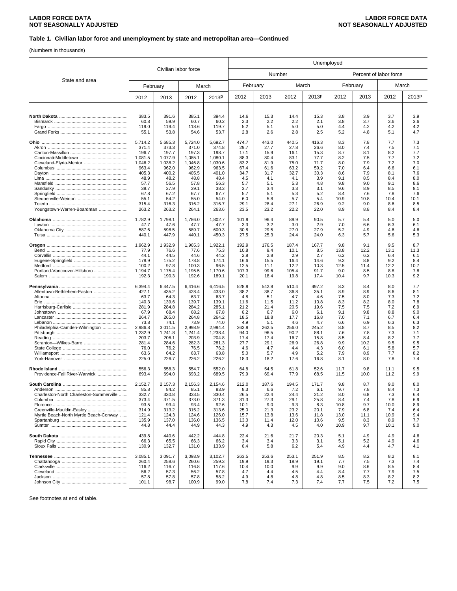### **Table 1. Civilian labor force and unemployment by state and metropolitan area—Continued**

(Numbers in thousands)

|                                         |                  |                  |                      |                  | Unemployed    |               |               |               |                        |             |              |            |  |
|-----------------------------------------|------------------|------------------|----------------------|------------------|---------------|---------------|---------------|---------------|------------------------|-------------|--------------|------------|--|
| State and area                          |                  |                  | Civilian labor force |                  |               | Number        |               |               | Percent of labor force |             |              |            |  |
|                                         |                  | February         |                      | March            | February      |               | March         |               |                        | February    |              | March      |  |
|                                         | 2012             | 2013             | 2012                 | 2013P            | 2012          | 2013          | 2012          | 2013P         | 2012                   | 2013        | 2012         | 2013P      |  |
|                                         |                  |                  |                      |                  |               |               |               |               |                        |             |              |            |  |
|                                         | 383.5<br>60.8    | 391.6<br>59.9    | 385.1<br>60.7        | 394.4<br>60.2    | 14.6<br>2.3   | 15.3<br>2.2   | 14.4<br>2.2   | 15.3<br>2.1   | 3.8<br>3.8             | 3.9<br>3.7  | 3.7<br>3.6   | 3.9<br>3.6 |  |
|                                         | 119.0            | 119.4            | 118.6                | 119.7            | 5.2           | 5.1           | 5.0           | 5.0           | 4.4                    | 4.2         | 4.2          | 4.2        |  |
|                                         | 55.1             | 53.8             | 54.6                 | 53.7             | 2.8           | 2.6           | 2.8           | 2.5           | 5.2                    | 4.8         | 5.1          | 4.7        |  |
|                                         |                  |                  |                      |                  |               |               |               |               |                        |             |              |            |  |
|                                         | 5,714.2<br>371.4 | 5,685.3<br>373.3 | 5,724.0<br>371.0     | 5.692.7<br>374.8 | 474.7<br>29.7 | 443.0<br>27.7 | 440.5<br>27.8 | 416.3<br>26.6 | 8.3<br>8.0             | 7.8<br>7.4  | 7.7<br>7.5   | 7.3<br>7.1 |  |
|                                         | 196.7            | 197.7            | 197.3                | 198.7            | 17.1          | 15.9          | 16.1          | 15.3          | 8.7                    | 8.1         | 8.2          | 7.7        |  |
|                                         | 1,081.5          | 1,077.9          | 1,085.1              | 1,080.1          | 88.3          | 80.4          | 83.1          | 77.7          | 8.2                    | 7.5         | 7.7          | 7.2        |  |
|                                         | 1,046.2          | 1,038.2          | 1,046.8              | 1,030.6          | 83.2          | 81.9          | 75.0          | 71.7          | 8.0                    | 7.9         | 7.2          | 7.0        |  |
|                                         | 963.4            | 962.0            | 962.9                | 963.5            | 67.4          | 61.6          | 63.2          | 59.2          | 7.0                    | 6.4         | 6.6          | 6.1        |  |
|                                         | 405.3<br>48.9    | 400.2<br>48.2    | 405.5<br>48.8        | 401.0<br>48.4    | 34.7<br>4.5   | 31.7<br>4.1   | 32.7<br>4.1   | 30.3<br>3.9   | 8.6<br>9.1             | 7.9<br>8.5  | 8.1<br>8.4   | 7.6<br>8.0 |  |
|                                         | 57.7             | 56.5             | 57.8                 | 56.3             | 5.7           | 5.1           | 5.3           | 4.8           | 9.8                    | 9.0         | 9.1          | 8.6        |  |
|                                         | 38.7             | 37.9             | 39.1                 | 38.3             | 3.7           | 3.4           | 3.3           | 3.1           | 9.6                    | 8.9         | 8.5          | 8.1        |  |
|                                         | 67.8             | 67.2             | 67.7                 | 67.7             | 5.7           | 5.1           | 5.3           | 5.2           | 8.4                    | 7.6         | 7.8          | 7.6        |  |
|                                         | 55.1             | 54.2             | 55.0                 | 54.0             | 6.0           | 5.8           | 5.7           | 5.4           | 10.9                   | 10.8        | 10.4         | 10.1       |  |
| Youngstown-Warren-Boardman              | 315.4<br>263.2   | 316.3<br>263.2   | 316.2<br>264.1       | 316.7<br>263.6   | 29.1<br>23.5  | 28.4<br>23.2  | 27.1<br>22.2  | 26.9<br>22.0  | 9.2<br>8.9             | 9.0<br>8.8  | 8.6<br>8.4   | 8.5<br>8.4 |  |
|                                         | 1,782.9          | 1,798.1          | 1,786.0              | 1.802.7          | 101.9         | 96.4          | 89.9          | 90.5          | 5.7                    | 5.4         | 5.0          | 5.0        |  |
|                                         | 47.7             | 47.6             | 47.7                 | 47.7             | 3.3           | 3.2           | 3.0           | 2.9           | 7.0                    | 6.6         | 6.3          | 6.1        |  |
|                                         | 587.6<br>440.1   | 598.5<br>447.9   | 589.7<br>440.1       | 600.3<br>450.3   | 30.8<br>27.5  | 29.5<br>25.3  | 27.0<br>24.4  | 27.9<br>24.0  | 5.2<br>6.3             | 4.9<br>5.7  | 4.6<br>5.6   | 4.6<br>5.3 |  |
| Oregon                                  | 1,962.9          | 1,932.9          | 1,965.3              | 1,922.1          | 192.9         | 176.5         | 187.4         | 167.7         | 9.8                    | 9.1         | 9.5          | 8.7        |  |
| Bend                                    | 77.9             | 76.6             | 77.6                 | 75.3             | 10.8          | 9.4           | 10.1          | 8.5           | 13.8                   | 12.2        | 13.1         | 11.3       |  |
|                                         | 44.1             | 44.5             | 44.6                 | 44.2             | 2.8           | 2.8           | 2.9           | 2.7           | 6.2                    | 6.2         | 6.4          | 6.1        |  |
|                                         | 178.9            | 175.2            | 178.8                | 174.1            | 16.6          | 15.5          | 16.4          | 14.6          | 9.3                    | 8.8         | 9.2          | 8.4        |  |
|                                         | 100.2            | 97.8             | 100.3                | 96.5             | 12.5          | 11.1          | 12.2          | 10.3          | 12.5                   | 11.4        | 12.2         | 10.7       |  |
| Portland-Vancouver-Hillsboro            | 1.194.7<br>192.3 | 1,175.4<br>190.3 | 1,195.5<br>192.6     | 1,170.6<br>189.1 | 107.3<br>20.1 | 99.6<br>18.4  | 105.4<br>19.8 | 91.7<br>17.4  | 9.0<br>10.4            | 8.5<br>9.7  | 8.8<br>10.3  | 7.8<br>9.2 |  |
|                                         | 6,394.4          | 6,447.5          | 6,416.6              | 6,416.5          | 528.9         | 542.8         | 510.4         | 497.2         | 8.3                    | 8.4         | 8.0          | 7.7        |  |
| Allentown-Bethlehem-Easton              | 427.1            | 435.2            | 428.4                | 433.0            | 38.2          | 38.7          | 36.8          | 35.1          | 8.9                    | 8.9         | 8.6          | 8.1        |  |
|                                         | 63.7             | 64.3             | 63.7                 | 63.7             | 4.8           | 5.1           | 4.7           | 4.6           | 7.5                    | 8.0         | 7.3          | 7.2        |  |
|                                         | 140.3            | 139.6            | 139.7                | 139.1            | 11.6          | 11.5          | 11.2          | 10.8          | 8.3                    | 8.2         | 8.0          | 7.8        |  |
|                                         | 281.9            | 284.8            | 284.2                | 285.1            | 21.2          | 21.4          | 20.5          | 19.6          | 7.5                    | 7.5         | 7.2          | 6.9        |  |
|                                         | 67.9             | 68.4             | 68.2<br>264.8        | 67.8             | 6.2           | 6.7           | 6.0           | 6.1           | 9.1                    | 9.8         | 8.8          | 9.0<br>6.4 |  |
|                                         | 264.7<br>73.8    | 265.0<br>74.1    | 73.9                 | 264.2<br>74.0    | 18.5<br>4.9   | 18.8<br>5.1   | 17.7<br>4.6   | 16.8<br>4.7   | 7.0<br>6.6             | 7.1<br>6.9  | 6.7<br>6.3   | 6.3        |  |
| Philadelphia-Camden-Wilmington          | 2,986.8          | 3,011.5          | 2,998.9              | 2,994.4          | 263.9         | 262.5         | 256.0         | 245.2         | 8.8                    | 8.7         | 8.5          | 8.2        |  |
|                                         | 1,232.9          | 1,241.8          | 1,241.4              | 1,238.4          | 94.0          | 96.5          | 90.2          | 88.1          | 7.6                    | 7.8         | 7.3          | 7.1        |  |
|                                         | 203.7            | 206.1            | 203.9                | 204.8            | 17.4          | 17.4          | 16.7          | 15.8          | 8.5                    | 8.4         | 8.2          | 7.7        |  |
|                                         | 281.4<br>76.0    | 284.6<br>76.2    | 282.3<br>76.5        | 281.3<br>76.2    | 27.7<br>4.6   | 29.1<br>4.7   | 26.9<br>4.4   | 26.8<br>4.3   | 9.9<br>6.0             | 10.2<br>6.1 | 9.5<br>5.8   | 9.5<br>5.7 |  |
|                                         | 63.6             | 64.2             | 63.7                 | 63.8             | 5.0           | 5.7           | 4.9           | 5.2           | 7.9                    | 8.9         | 7.7          | 8.2        |  |
|                                         | 225.0            | 226.7            | 226.2                | 226.2            | 18.3          | 18.2          | 17.6          | 16.8          | 8.1                    | 8.0         | 7.8          | 7.4        |  |
| Providence-Fall River-Warwick           | 556.3<br>693.4   | 558.3<br>694.0   | 554.7<br>693.2       | 552.0<br>689.5   | 64.8<br>79.9  | 54.5<br>69.4  | 61.8<br>77.9  | 52.6<br>68.5  | 11.7<br>11.5           | 9.8<br>10.0 | 11.1<br>11.2 | 9.5<br>9.9 |  |
|                                         | 2,152.7          | 2,157.3          | 2,156.3              | 2,154.6          | 212.0         | 187.6         | 194.5         | 171.7         | 9.8                    | 8.7         | 9.0          | 8.0        |  |
|                                         | 85.8             | 84.2             | 85.1                 | 83.9             | 8.3           | 6.6           | 7.2           | 6.1           | 9.7                    | 7.8         | 8.4          | 7.3        |  |
| Charleston-North Charleston-Summerville | 332.7<br>373.4   | 330.8<br>371.5   | 333.5<br>373.0       | 330.4<br>371.3   | 26.5<br>31.3  | 22.4<br>27.3  | 24.4<br>29.1  | 21.2<br>25.8  | 8.0<br>8.4             | 6.8<br>7.4  | 7.3<br>7.8   | 6.4<br>6.9 |  |
|                                         | 93.5             | 93.4             | 93.4                 | 92.6             | 10.1          | 9.0           | 9.3           | 8.3           | 10.8                   | 9.7         | 10.0         | 8.9        |  |
|                                         | 314.9            | 313.2            | 315.2                | 313.6            | 25.0          | 21.3          | 23.2          | 20.1          | 7.9                    | 6.8         | 7.4          | 6.4        |  |
| Myrtle Beach-North Myrtle Beach-Conway  | 121.4            | 124.3            | 124.6                | 126.0            | 15.7          | 13.8          | 13.6          | 11.8          | 13.0                   | 11.1        | 10.9         | 9.4        |  |
|                                         | 135.9<br>44.8    | 137.0<br>44.4    | 136.0<br>44.9        | 136.5<br>44.3    | 13.0<br>4.9   | 11.4<br>4.3   | 12.0<br>4.5   | 10.6<br>4.0   | 9.5<br>10.9            | 8.3<br>9.7  | 8.9<br>10.1  | 7.7<br>9.0 |  |
|                                         | 439.8            | 440.6            | 442.2                | 444.8            | 22.4          | 21.6          | 21.7          | 20.3          | 5.1                    | 4.9         | 4.9          | 4.6        |  |
|                                         | 66.3             | 65.5             | 66.3                 | 66.2             | 3.4           | 3.4           | 3.3           | 3.1           | 5.1                    | 5.2         | 4.9          | 4.6        |  |
|                                         | 130.9            | 132.7            | 131.0                | 133.9            | 6.4           | 5.8           | 6.2           | 5.4           | 4.9                    | 4.4         | 4.7          | 4.1        |  |
|                                         | 3,085.1          | 3,091.7          | 3,093.9              | 3,102.7          | 263.5         | 253.6         | 253.1         | 251.9         | 8.5                    | 8.2         | 8.2          | 8.1        |  |
|                                         | 260.4            | 258.6            | 260.6                | 259.3            | 19.9          | 19.3          | 18.9          | 19.1          | 7.7                    | 7.5         | 7.3          | 7.4        |  |
|                                         | 116.2<br>56.2    | 116.7<br>57.3    | 116.8<br>56.2        | 117.6<br>57.8    | 10.4<br>4.7   | 10.0<br>4.4   | 9.9<br>4.5    | 9.9<br>4.4    | 9.0<br>8.4             | 8.6<br>7.7  | 8.5<br>7.9   | 8.4<br>7.5 |  |
|                                         | 57.8             | 57.8             | 57.8                 | 58.2             | 4.9           | 4.8           | 4.8           | 4.8           | 8.5                    | 8.3         | 8.2          | 8.2        |  |
|                                         | 101.1            | 98.7             | 100.9                | 99.0             | 7.8           | 7.4           | 7.3           | 7.4           | 7.7                    | 7.5         | 7.2          | 7.5        |  |
|                                         |                  |                  |                      |                  |               |               |               |               |                        |             |              |            |  |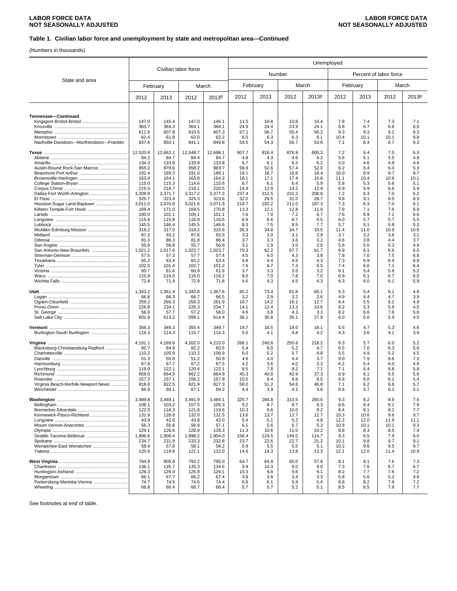### **Table 1. Civilian labor force and unemployment by state and metropolitan area—Continued**

(Numbers in thousands)

|                                                    |                  |                  |                      |                  | Unemployed    |               |               |               |              |                        |             |             |  |
|----------------------------------------------------|------------------|------------------|----------------------|------------------|---------------|---------------|---------------|---------------|--------------|------------------------|-------------|-------------|--|
|                                                    |                  |                  | Civilian labor force |                  |               | Number        |               |               |              | Percent of labor force |             |             |  |
| State and area                                     |                  | February         | March                |                  | February      |               | March         |               |              | February               |             | March       |  |
|                                                    | 2012             | 2013             | 2012                 | 2013P            | 2012          | 2013          | 2012          | 2013P         | 2012         | 2013                   | 2012        | 2013P       |  |
| Tennessee-Continued                                |                  |                  |                      |                  |               |               |               |               |              |                        |             |             |  |
|                                                    | 147.0<br>363.7   | 145.4<br>364.3   | 147.0<br>364.1       | 146.1<br>366.1   | 11.5<br>24.9  | 10.8<br>24.4  | 10.8<br>23.9  | 10.4<br>24.1  | 7.8<br>6.8   | 7.4<br>6.7             | 7.3<br>6.6  | 7.1<br>6.6  |  |
|                                                    | 611.8            | 607.8            | 610.5                | 607.3            | 57.1          | 56.7          | 55.4          | 56.2          | 9.3          | 9.3                    | 9.1         | 9.3         |  |
| Nashville-Davidson-Murfreesboro-Franklin           | 62.4<br>837.8    | 61.8<br>850.1    | 63.0<br>841.1        | 62.2<br>849.8    | 6.5<br>59.5   | 6.3<br>54.3   | 6.3<br>56.7   | 6.1<br>53.6   | 10.4<br>7.1  | 10.1<br>6.4            | 10.1<br>6.7 | 9.8<br>6.3  |  |
|                                                    | 12,520.8         | 12,662.1         | 12.548.7             | 12,686.1         | 907.7         | 816.4         | 876.9         | 800.3         | 7.2          | 6.4                    | 7.0         | 6.3         |  |
|                                                    | 84.2<br>134.3    | 84.7<br>133.8    | 84.4<br>133.9        | 84.7<br>133.8    | 4.8<br>6.7    | 4.3<br>6.1    | 4.6<br>6.5    | 4.2<br>6.2    | 5.6<br>5.0   | 5.1<br>4.6             | 5.5<br>4.9  | 4.9<br>4.6  |  |
| Austin-Round Rock-San Marcos                       | 955.2            | 978.6            | 958.2                | 983.7            | 58.9          | 52.6          | 57.4          | 52.0          | 6.2          | 5.4                    | 6.0         | 5.3         |  |
|                                                    | 191.4<br>163.4   | 189.3<br>164.1   | 191.0<br>163.8       | 189.1<br>164.2   | 19.1<br>18.1  | 18.7<br>17.1  | 18.6<br>17.4  | 18.4<br>16.6  | 10.0<br>11.1 | 9.9<br>10.4            | 9.7<br>10.6 | 9.7<br>10.1 |  |
|                                                    | 115.0            | 115.3            | 114.6                | 115.6            | 6.7           | 6.1           | 6.4           | 5.9           | 5.8          | 5.3                    | 5.6         | 5.1         |  |
|                                                    | 215.5            | 218.7            | 216.1                | 220.5            | 14.9          | 12.9          | 14.2          | 12.9          | 6.9          | 5.9                    | 6.6         | 5.9         |  |
|                                                    | 3,309.9<br>325.7 | 3,371.7<br>323.4 | 3,317.2<br>325.3     | 3,377.3<br>323.6 | 237.4<br>32.0 | 212.5<br>29.5 | 231.2<br>31.0 | 208.8<br>28.7 | 7.2<br>9.8   | 6.3<br>9.1             | 7.0<br>9.5  | 6.2<br>8.9  |  |
| Houston-Sugar Land-Baytown                         | 3.011.0          | 3,070.9          | 3,021.6              | 3,071.9          | 219.7         | 192.2         | 211.0         | 187.3         | 7.3          | 6.3                    | 7.0         | 6.1         |  |
|                                                    | 169.4<br>100.0   | 171.0<br>101.1   | 169.5<br>100.1       | 170.8<br>101.1   | 13.3<br>7.6   | 12.1<br>7.0   | 12.8<br>7.2   | 11.9<br>6.7   | 7.9<br>7.6   | 7.1<br>6.9             | 7.6<br>7.1  | 6.9<br>6.6  |  |
|                                                    | 115.9            | 115.8            | 116.8                | 116.6            | 6.9           | 6.6           | 6.7           | 6.5           | 6.0          | 5.7                    | 5.7         | 5.5         |  |
|                                                    | 145.5            | 146.4            | 145.5                | 146.6            | 8.3           | 7.5           | 8.5           | 7.7           | 5.7          | 5.1                    | 5.8         | 5.3         |  |
|                                                    | 318.2<br>87.2    | 317.0<br>93.2    | 318.2<br>87.6        | 315.6<br>93.5    | 36.3<br>3.3   | 34.8<br>3.0   | 34.7<br>3.1   | 33.5<br>2.9   | 11.4<br>3.7  | 11.0<br>3.2            | 10.9<br>3.6 | 10.6<br>3.1 |  |
|                                                    | 81.3             | 86.3             | 81.8                 | 86.4             | 3.7           | 3.3           | 3.6           | 3.2           | 4.6          | 3.8                    | 4.4         | 3.7         |  |
| San Antonio-New Braunfels                          | 55.6<br>1,021.2  | 56.8<br>1,017.6  | 55.7<br>1,023.7      | 56.9<br>1,023.7  | 3.1<br>70.3   | 2.9<br>62.2   | 3.0<br>67.7   | 2.8<br>61.7   | 5.6<br>6.9   | 5.0<br>6.1             | 5.3<br>6.6  | 4.9<br>6.0  |  |
|                                                    | 57.5             | 57.3             | 57.7                 | 57.4             | 4.5           | 4.0           | 4.3           | 3.9           | 7.8          | 7.0                    | 7.5         | 6.8         |  |
|                                                    | 65.2             | 63.4             | 65.2                 | 63.4             | 4.8           | 4.4           | 4.5           | 4.3           | 7.3          | 6.9                    | 6.9         | 6.8         |  |
|                                                    | 102.5<br>60.7    | 101.4<br>61.6    | 102.7<br>60.9        | 101.2<br>61.6    | 7.6<br>3.7    | 6.7<br>3.3    | 7.3<br>3.5    | 6.5<br>3.2    | 7.4<br>6.1   | 6.6<br>5.4             | 7.1<br>5.8  | 6.4<br>5.2  |  |
|                                                    | 115.8            | 116.0            | 116.0                | 116.2            | 8.0           | 7.0           | 7.8           | 7.0           | 6.9          | 6.1                    | 6.7         | 6.0         |  |
|                                                    | 72.8             | 71.9             | 72.9                 | 71.8             | 4.6           | 4.3           | 4.5           | 4.3           | 6.3          | 6.0                    | 6.1         | 5.9         |  |
|                                                    | 1,343.2<br>66.6  | 1,361.4<br>66.3  | 1,343.0<br>66.7      | 1,367.6<br>66.5  | 85.2<br>3.2   | 73.4<br>2.9   | 81.8<br>3.2   | 65.1<br>2.6   | 6.3<br>4.9   | 5.4<br>4.4             | 6.1<br>4.7  | 4.8<br>3.9  |  |
|                                                    | 259.2            | 260.3            | 259.3                | 261.9            | 16.7          | 14.2          | 16.1          | 12.7          | 6.4          | 5.5                    | 6.2         | 4.9         |  |
|                                                    | 226.8            | 234.1            | 226.3                | 234.7            | 14.1          | 12.4          | 13.3          | 10.6          | 6.2          | 5.3                    | 5.9         | 4.5         |  |
|                                                    | 56.9<br>601.9    | 57.7<br>613.2    | 57.2<br>599.1        | 58.0<br>614.4    | 4.6<br>36.1   | 3.8<br>30.8   | 4.3<br>35.1   | 3.3<br>27.9   | 8.2<br>6.0   | 6.6<br>5.0             | 7.6<br>5.9  | 5.6<br>4.5  |  |
|                                                    | 356.3            | 349.3            | 355.4                | 349.7            | 19.7          | 16.5          | 19.0          | 16.1          | 5.5          | 4.7                    | 5.3         | 4.6         |  |
| Burlington-South Burlington                        | 116.3            | 114.2            | 115.7                | 114.3            | 5.0           | 4.1           | 4.8           | 4.2           | 4.3          | 3.6                    | 4.1         | 3.6         |  |
|                                                    | 4,191.1          | 4,189.6          | 4,202.0              | 4,210.0          | 266.1         | 240.6         | 250.6         | 218.2         | 6.3          | 5.7                    | 6.0         | 5.2         |  |
| Blacksburg-Christiansburg-Radford                  | 82.7<br>110.2    | 84.9<br>105.9    | 82.2<br>110.2        | 83.5<br>106.9    | 5.4<br>6.0    | 6.0<br>5.2    | 5.2<br>5.7    | 4.7<br>4.8    | 6.5<br>5.5   | 7.0<br>4.9             | 6.3<br>5.2  | 5.6<br>4.5  |  |
|                                                    | 51.3             | 50.9             | 51.2                 | 50.9             | 4.6           | 4.0           | 4.4           | 3.7           | 9.0          | 7.9                    | 8.6         | 7.3         |  |
|                                                    | 67.8<br>119.9    | 67.7<br>122.1    | 67.2<br>120.4        | 67.5<br>122.1    | 4.2<br>8.5    | 3.6<br>7.8    | 4.0<br>8.2    | 3.3<br>7.1    | 6.2<br>7.1   | 5.4<br>6.4             | 6.0<br>6.8  | 4.9<br>5.8  |  |
|                                                    | 659.5            | 664.5            | 662.2                | 664.9            | 45.3          | 40.8          | 42.9          | 37.3          | 6.9          | 6.1                    | 6.5         | 5.6         |  |
|                                                    | 157.3            | 157.1            | 158.2                | 157.9            | 10.5          | 9.4           | 9.9           | 8.5           | 6.6          | 6.0                    | 6.2         | 5.4         |  |
| Virginia Beach-Norfolk-Newport News<br>Winchester. | 818.8<br>66.9    | 822.5<br>68.1    | 821.9<br>67.1        | 827.3<br>69.2    | 58.0<br>4.4   | 51.2<br>3.9   | 54.6<br>4.1   | 46.8<br>3.6   | 7.1<br>6.6   | 6.2<br>5.7             | 6.6<br>6.2  | 5.7<br>5.1  |  |
|                                                    | 3,489.8          | 3,469.1          | 3,491.9              | 3,484.1          | 325.7         | 284.8         | 310.5         | 260.5         | 9.3          | 8.2                    | 8.9         | 7.5         |  |
|                                                    | 106.1<br>122.5   | 103.2<br>118.3   | 107.5<br>121.8       | 105.3<br>119.6   | 9.2<br>10.3   | 8.7<br>9.6    | 8.7<br>10.0   | 8.3<br>9.2    | 8.6<br>8.4   | 8.4<br>8.1             | 8.1<br>8.2  | 7.9<br>7.7  |  |
| Kennewick-Pasco-Richland                           | 131.9            | 128.8            | 132.0                | 131.5            | 13.6          | 13.7          | 12.7          | 12.7          | 10.3         | 10.6                   | 9.6         | 9.7         |  |
|                                                    | 43.9             | 42.6             | 43.8                 | 43.0             | 5.4           | 5.1           | 5.2           | 4.8           | 12.2         | 12.0                   | 11.9        | 11.1        |  |
|                                                    | 56.3<br>129.1    | 55.8<br>126.6    | 56.9<br>128.9        | 57.1<br>128.3    | 6.1<br>11.3   | 5.6<br>10.6   | 5.7<br>11.0   | 5.3<br>10.2   | 10.9<br>8.8  | 10.1<br>8.3            | 10.1<br>8.5 | 9.3<br>7.9  |  |
|                                                    | 1,896.6          | 1,906.4          | 1,898.2              | 1,904.0          | 158.4         | 124.5         | 149.0         | 114.7         | 8.3          | 6.5                    | 7.9         | 6.0         |  |
|                                                    | 234.7            | 231.9            | 233.3                | 232.8            | 23.7          | 22.6          | 22.7          | 21.2          | 10.1         | 9.8                    | 9.7         | 9.1         |  |
| Wenatchee-East Wenatchee                           | 58.4<br>120.6    | 57.6<br>119.6    | 58.1<br>121.1        | 58.2<br>122.0    | 5.9<br>14.6   | 5.5<br>14.3   | 5.5<br>13.8   | 5.1<br>13.3   | 10.2<br>12.1 | 9.6<br>12.0            | 9.5<br>11.4 | 8.7<br>10.9 |  |
|                                                    | 794.9            | 800.9            | 792.2                | 795.0            | 64.7          | 64.9          | 60.0          | 57.8          | 8.1          | 8.1                    | 7.6         | 7.3         |  |
|                                                    | 136.1<br>126.3   | 135.7<br>126.0   | 135.3<br>125.9       | 134.6<br>126.1   | 9.9<br>10.3   | 10.3<br>9.8   | 9.0<br>9.6    | 9.0<br>9.1    | 7.3<br>8.2   | 7.6<br>7.7             | 6.7<br>7.6  | 6.7<br>7.2  |  |
|                                                    | 66.1             | 67.7             | 66.2                 | 67.4             | 3.8           | 3.8           | 3.4           | 3.3           | 5.8          | 5.6                    | 5.2         | 4.8         |  |
| Parkersburg-Marietta-Vienna                        | 74.7<br>66.8     | 74.5<br>66.4     | 74.6<br>66.7         | 74.4<br>66.4     | 6.6<br>5.7    | 6.1<br>5.7    | 5.9<br>5.2    | 5.4<br>5.1    | 8.8<br>8.5   | 8.2<br>8.5             | 7.9<br>7.8  | 7.2<br>7.7  |  |
|                                                    |                  |                  |                      |                  |               |               |               |               |              |                        |             |             |  |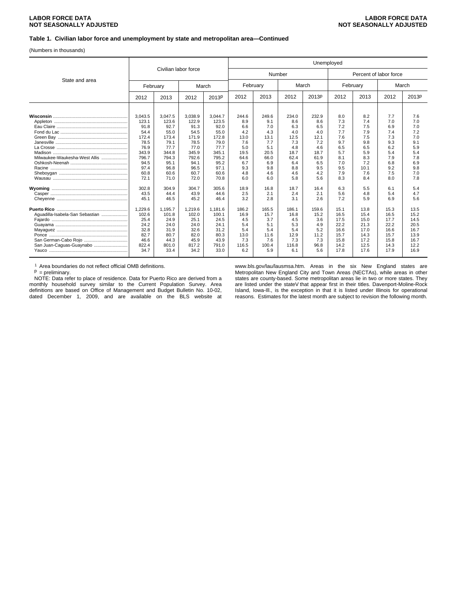#### **Table 1. Civilian labor force and unemployment by state and metropolitan area—Continued**

(Numbers in thousands)

|                                 |          |                      |         |         | Unemployed |        |       |       |      |                        |      |       |  |
|---------------------------------|----------|----------------------|---------|---------|------------|--------|-------|-------|------|------------------------|------|-------|--|
|                                 |          | Civilian labor force |         |         |            | Number |       |       |      | Percent of labor force |      |       |  |
| State and area                  | February |                      | March   |         | February   |        | March |       |      | February               |      | March |  |
|                                 | 2012     | 2013                 | 2012    | 2013P   | 2012       | 2013   | 2012  | 2013P | 2012 | 2013                   | 2012 | 2013P |  |
|                                 |          |                      |         |         |            |        |       |       |      |                        |      |       |  |
|                                 | 3,043.5  | 3,047.5              | 3,038.9 | 3,044.7 | 244.6      | 249.6  | 234.0 | 232.9 | 8.0  | 8.2                    | 7.7  | 7.6   |  |
|                                 | 123.1    | 123.6                | 122.9   | 123.5   | 8.9        | 9.1    | 8.6   | 8.6   | 7.3  | 7.4                    | 7.0  | 7.0   |  |
|                                 | 91.8     | 92.7                 | 91.3    | 92.0    | 6.6        | 7.0    | 6.3   | 6.5   | 7.2  | 7.5                    | 6.9  | 7.0   |  |
|                                 | 54.4     | 55.0                 | 54.5    | 55.0    | 4.2        | 4.3    | 4.0   | 4.0   | 7.7  | 7.9                    | 7.4  | 7.2   |  |
|                                 | 172.4    | 173.4                | 171.9   | 172.8   | 13.0       | 13.1   | 12.5  | 12.1  | 7.6  | 7.5                    | 7.3  | 7.0   |  |
|                                 | 78.5     | 79.1                 | 78.5    | 79.0    | 7.6        | 7.7    | 7.3   | 7.2   | 9.7  | 9.8                    | 9.3  | 9.1   |  |
|                                 | 76.9     | 77.7                 | 77.0    | 77.7    | 5.0        | 5.1    | 4.8   | 4.6   | 6.5  | 6.5                    | 6.2  | 5.9   |  |
|                                 | 343.9    | 344.8                | 345.9   | 345.1   | 19.5       | 20.5   | 18.7  | 18.7  | 5.7  | 5.9                    | 5.4  | 5.4   |  |
| Milwaukee-Waukesha-West Allis   | 796.7    | 794.3                | 792.6   | 795.2   | 64.6       | 66.0   | 62.4  | 61.9  | 8.1  | 8.3                    | 7.9  | 7.8   |  |
|                                 | 94.5     | 95.1                 | 94.1    | 95.2    | 6.7        | 6.9    | 6.4   | 6.5   | 7.0  | 7.2                    | 6.8  | 6.9   |  |
|                                 | 97.4     | 96.8                 | 96.5    | 97.1    | 9.3        | 9.8    | 8.8   | 9.5   | 9.5  | 10.1                   | 9.2  | 9.8   |  |
|                                 | 60.8     | 60.6                 | 60.7    | 60.6    | 4.8        | 4.6    | 4.6   | 4.2   | 7.9  | 7.6                    | 7.5  | 7.0   |  |
|                                 | 72.1     | 71.0                 | 72.0    | 70.8    | 6.0        | 6.0    | 5.8   | 5.6   | 8.3  | 8.4                    | 8.0  | 7.8   |  |
|                                 | 302.8    | 304.9                | 304.7   | 305.6   | 18.9       | 16.8   | 18.7  | 16.4  | 6.3  | 5.5                    | 6.1  | 5.4   |  |
|                                 | 43.5     | 44.4                 | 43.9    | 44.6    | 2.5        | 2.1    | 2.4   | 2.1   | 5.6  | 4.8                    | 5.4  | 4.7   |  |
|                                 | 45.1     | 46.5                 | 45.2    | 46.4    | 3.2        | 2.8    | 3.1   | 2.6   | 7.2  | 5.9                    | 6.9  | 5.6   |  |
|                                 | 1,229.6  | 1,195.7              | 1,219.6 | 1,181.6 | 186.2      | 165.5  | 186.1 | 159.6 | 15.1 | 13.8                   | 15.3 | 13.5  |  |
| Aguadilla-Isabela-San Sebastian | 102.6    | 101.8                | 102.0   | 100.1   | 16.9       | 15.7   | 16.8  | 15.2  | 16.5 | 15.4                   | 16.5 | 15.2  |  |
|                                 | 25.4     | 24.9                 | 25.1    | 24.5    | 4.5        | 3.7    | 4.5   | 3.6   | 17.5 | 15.0                   | 17.7 | 14.5  |  |
|                                 | 24.2     | 24.0                 | 24.0    | 24.1    | 5.4        | 5.1    | 5.3   | 4.9   | 22.2 | 21.3                   | 22.2 | 20.5  |  |
|                                 | 32.8     | 31.9                 | 32.6    | 31.2    | 5.4        | 5.4    | 5.4   | 5.2   | 16.6 | 17.0                   | 16.6 | 16.7  |  |
|                                 | 82.7     | 80.7                 | 82.0    | 80.3    | 13.0       | 11.6   | 12.9  | 11.2  | 15.7 | 14.3                   | 15.7 | 13.9  |  |
|                                 | 46.6     | 44.3                 | 45.9    | 43.9    | 7.3        | 7.6    | 7.3   | 7.3   | 15.8 | 17.2                   | 15.8 | 16.7  |  |
| San Juan-Caguas-Guaynabo        | 822.4    | 801.0                | 817.2   | 791.0   | 116.5      | 100.4  | 116.8 | 96.8  | 14.2 | 12.5                   | 14.3 | 12.2  |  |
|                                 | 34.7     | 33.4                 | 34.2    | 33.0    | 6.2        | 5.9    | 6.1   | 5.6   | 17.8 | 17.6                   | 17.9 | 16.9  |  |

<sup>1</sup> Area boundaries do not reflect official OMB definitions.<br> $P = preliminary.$ 

 NOTE: Data refer to place of residence. Data for Puerto Rico are derived from a monthly household survey similar to the Current Population Survey. Area definitions are based on Office of Management and Budget Bulletin No. 10-02, dated December 1, 2009, and are available on the BLS website at www.bls.gov/lau/lausmsa.htm. Areas in the six New England states are Metropolitan New England City and Town Areas (NECTAs), while areas in other states are county-based. Some metropolitan areas lie in two or more states. They are listed under the state• that appear first in their titles. Davenport-Moline-Rock Island, Iowa-Ill., is the exception in that it is listed under Illinois for operational reasons. Estimates for the latest month are subject to revision the following month.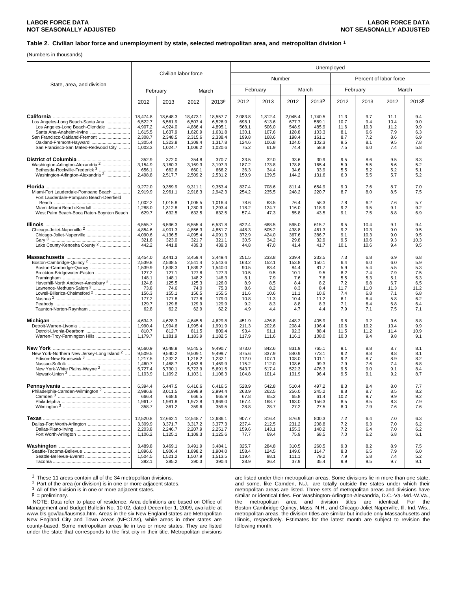#### **Table 2. Civilian labor force and unemployment by state, selected metropolitan area, and metropolitan division** 1

(Numbers in thousands)

|                                                                                                                                                                                                     |                                                                                                     |                                                                                                     |                                                                                                     |                                                                                                     | Unemployed                                                                        |                                                                                  |                                                                                   |                                                                                  |                                                                            |                                                                            |                                                                            |                                                                            |  |  |
|-----------------------------------------------------------------------------------------------------------------------------------------------------------------------------------------------------|-----------------------------------------------------------------------------------------------------|-----------------------------------------------------------------------------------------------------|-----------------------------------------------------------------------------------------------------|-----------------------------------------------------------------------------------------------------|-----------------------------------------------------------------------------------|----------------------------------------------------------------------------------|-----------------------------------------------------------------------------------|----------------------------------------------------------------------------------|----------------------------------------------------------------------------|----------------------------------------------------------------------------|----------------------------------------------------------------------------|----------------------------------------------------------------------------|--|--|
|                                                                                                                                                                                                     |                                                                                                     |                                                                                                     | Civilian labor force                                                                                |                                                                                                     |                                                                                   | Number                                                                           |                                                                                   |                                                                                  |                                                                            | Percent of labor force                                                     |                                                                            |                                                                            |  |  |
| State, area, and division                                                                                                                                                                           |                                                                                                     | February                                                                                            |                                                                                                     | March                                                                                               |                                                                                   | February                                                                         | March                                                                             |                                                                                  |                                                                            | February                                                                   |                                                                            | March                                                                      |  |  |
|                                                                                                                                                                                                     | 2012                                                                                                | 2013                                                                                                | 2012                                                                                                | 2013P                                                                                               | 2012                                                                              | 2013                                                                             | 2012                                                                              | 2013P                                                                            | 2012                                                                       | 2013                                                                       | 2012                                                                       | 2013P                                                                      |  |  |
| Los Angeles-Long Beach-Santa Ana<br>Los Angeles-Long Beach-Glendale<br>Santa Ana-Anaheim-Irvine<br>San Francisco-Oakland-Fremont<br>Oakland-Fremont-Havward<br>San Francisco-San Mateo-Redwood City | 18,474.8<br>6,522.7<br>4,907.2<br>1,615.5<br>2,308.7<br>1,305.4<br>1,003.3                          | 18,648.3<br>6,561.9<br>4,924.0<br>1,637.9<br>2,348.5<br>1,323.8<br>1,024.7                          | 18,473.1<br>6,507.4<br>4,886.4<br>1,620.9<br>2,315.6<br>1,309.4<br>1,006.2                          | 18,557.7<br>6,526.9<br>4,895.1<br>1,631.8<br>2,338.4<br>1,317.8<br>1,020.6                          | 2,083.8<br>698.1<br>568.1<br>130.1<br>199.8<br>124.6<br>75.2                      | 1,812.4<br>613.6<br>506.0<br>107.6<br>168.6<br>106.8<br>61.9                     | 2,045.4<br>677.7<br>548.9<br>128.8<br>198.4<br>124.0<br>74.4                      | 1,740.5<br>589.1<br>485.9<br>103.3<br>161.1<br>102.3<br>58.8                     | 11.3<br>10.7<br>11.6<br>8.1<br>8.7<br>9.5<br>7.5                           | 9.7<br>9.4<br>10.3<br>6.6<br>7.2<br>8.1<br>6.0                             | 11.1<br>10.4<br>11.2<br>7.9<br>8.6<br>9.5<br>7.4                           | 9.4<br>9.0<br>9.9<br>6.3<br>6.9<br>7.8<br>5.8                              |  |  |
| Washington-Arlington-Alexandria <sup>2</sup><br>Bethesda-Rockville-Frederick <sup>3</sup><br>Washington-Arlington-Alexandria <sup>2</sup>                                                           | 352.9<br>3,154.9<br>656.1<br>2,498.8                                                                | 372.0<br>3,180.3<br>662.6<br>2,517.7                                                                | 354.8<br>3,169.3<br>660.1<br>2,509.2                                                                | 370.7<br>3,197.3<br>666.2<br>2,531.2                                                                | 33.5<br>187.2<br>36.3<br>150.9                                                    | 32.0<br>173.8<br>34.4<br>139.5                                                   | 33.6<br>178.8<br>34.6<br>144.2                                                    | 30.9<br>165.4<br>33.9<br>131.6                                                   | 9.5<br>5.9<br>5.5<br>6.0                                                   | 8.6<br>5.5<br>5.2<br>5.5                                                   | 9.5<br>5.6<br>5.2<br>5.7                                                   | 8.3<br>5.2<br>5.1<br>5.2                                                   |  |  |
| Miami-Fort Lauderdale-Pompano Beach<br>Fort Lauderdale-Pompano Beach-Deerfield                                                                                                                      | 9,272.0<br>2,919.9                                                                                  | 9,359.9<br>2,961.1                                                                                  | 9,311.1<br>2,918.3                                                                                  | 9,353.4<br>2,942.3                                                                                  | 837.4<br>254.2                                                                    | 708.6<br>235.5                                                                   | 811.4<br>248.2                                                                    | 654.9<br>220.7                                                                   | 9.0<br>8.7                                                                 | 7.6<br>8.0                                                                 | 8.7<br>8.5                                                                 | 7.0<br>7.5                                                                 |  |  |
| Miami-Miami Beach-Kendall<br>West Palm Beach-Boca Raton-Boynton Beach                                                                                                                               | 1,002.2<br>1,288.0<br>629.7                                                                         | 1,015.8<br>1,312.8<br>632.5                                                                         | 1,005.5<br>1,280.3<br>632.5                                                                         | 1,016.4<br>1,293.4<br>632.5                                                                         | 78.6<br>118.2<br>57.4                                                             | 63.5<br>124.7<br>47.3                                                            | 76.4<br>116.0<br>55.8                                                             | 58.3<br>118.9<br>43.5                                                            | 7.8<br>9.2<br>9.1                                                          | 6.2<br>9.5<br>7.5                                                          | 7.6<br>9.1<br>8.8                                                          | 5.7<br>9.2<br>6.9                                                          |  |  |
|                                                                                                                                                                                                     | 6,555.7<br>4,854.6<br>4,090.6<br>321.8<br>442.2                                                     | 6,596.3<br>4,901.3<br>4,136.5<br>323.0<br>441.8                                                     | 6,555.4<br>4,856.3<br>4,095.4<br>321.7<br>439.3                                                     | 6,531.8<br>4,851.7<br>4,091.3<br>321.1<br>439.3                                                     | 622.4<br>448.3<br>372.9<br>30.5<br>44.8                                           | 688.5<br>505.2<br>424.0<br>34.2<br>47.0                                          | 595.0<br>438.8<br>367.6<br>29.8<br>41.4                                           | 615.7<br>461.3<br>386.7<br>32.9<br>41.7                                          | 9.5<br>9.2<br>9.1<br>9.5<br>10.1                                           | 10.4<br>10.3<br>10.3<br>10.6<br>10.6                                       | 9.1<br>9.0<br>9.0<br>9.3<br>9.4                                            | 9.4<br>9.5<br>9.5<br>10.3<br>9.5                                           |  |  |
| Boston-Cambridge-Quincy <sup>2</sup><br>Brockton-Bridgewater-Easton<br>Taunton-Norton-Raynham                                                                                                       | 3,454.0<br>2,539.8<br>1,539.9<br>127.2<br>148.1<br>124.8<br>73.8<br>156.3<br>177.2<br>129.7<br>62.8 | 3,441.3<br>2,538.5<br>1,538.3<br>127.1<br>148.1<br>125.5<br>74.6<br>155.1<br>177.8<br>129.8<br>62.2 | 3,459.4<br>2,541.4<br>1,539.2<br>127.8<br>148.2<br>125.3<br>74.0<br>156.5<br>177.8<br>129.9<br>62.9 | 3,449.4<br>2,543.6<br>1,540.0<br>127.3<br>148.3<br>126.0<br>75.3<br>155.5<br>179.0<br>129.9<br>62.2 | 251.5<br>163.2<br>90.5<br>10.5<br>8.1<br>8.9<br>8.6<br>11.6<br>10.8<br>9.2<br>4.9 | 233.8<br>152.1<br>83.4<br>9.5<br>7.9<br>8.5<br>8.2<br>10.6<br>11.3<br>8.3<br>4.4 | 239.4<br>153.8<br>84.4<br>10.1<br>7.6<br>8.4<br>8.3<br>11.1<br>10.4<br>8.8<br>4.7 | 233.5<br>150.1<br>81.7<br>9.5<br>7.8<br>8.2<br>8.4<br>10.6<br>11.2<br>8.3<br>4.4 | 7.3<br>6.4<br>5.9<br>8.2<br>5.5<br>7.2<br>11.7<br>7.4<br>6.1<br>7.1<br>7.9 | 6.8<br>6.0<br>5.4<br>7.4<br>5.3<br>6.8<br>11.0<br>6.8<br>6.4<br>6.4<br>7.1 | 6.9<br>6.0<br>5.5<br>7.9<br>5.1<br>6.7<br>11.3<br>7.1<br>5.8<br>6.8<br>7.5 | 6.8<br>5.9<br>5.3<br>7.5<br>5.3<br>6.5<br>11.2<br>6.8<br>6.2<br>6.4<br>7.1 |  |  |
| Michigan<br>Warren-Troy-Farmington Hills                                                                                                                                                            | 4,634.3<br>1,990.4<br>810.7<br>1,179.7                                                              | 4,628.3<br>1,994.6<br>812.7<br>1,181.9                                                              | 4,645.5<br>1,995.4<br>811.5<br>1,183.9                                                              | 4,629.8<br>1,991.9<br>809.4<br>1,182.5                                                              | 451.9<br>211.3<br>93.4<br>117.9                                                   | 426.8<br>202.6<br>91.1<br>111.6                                                  | 448.2<br>208.4<br>92.3<br>116.1                                                   | 405.9<br>196.4<br>88.4<br>108.0                                                  | 9.8<br>10.6<br>11.5<br>10.0                                                | 9.2<br>10.2<br>11.2<br>9.4                                                 | 9.6<br>10.4<br>11.4<br>9.8                                                 | 8.8<br>9.9<br>10.9<br>9.1                                                  |  |  |
| New York-Northern New Jersey-Long Island 2<br>New York-White Plains-Wayne <sup>2</sup>                                                                                                              | 9,560.9<br>9,509.5<br>1,217.5<br>1,460.7<br>5,727.4<br>1,103.9                                      | 9,548.8<br>9,540.2<br>1,232.2<br>1,468.7<br>5,730.1<br>1,109.2                                      | 9,545.5<br>9,509.1<br>1,218.2<br>1,463.8<br>5,723.9<br>1,103.1                                      | 9,490.7<br>9,499.7<br>1,232.1<br>1.469.9<br>5,691.5<br>1,106.3                                      | 873.0<br>875.6<br>112.0<br>115.2<br>543.7<br>104.8                                | 842.6<br>837.9<br>107.1<br>112.0<br>517.4<br>101.4                               | 831.9<br>840.9<br>108.0<br>108.6<br>522.3<br>101.9                                | 765.1<br>773.1<br>101.1<br>99.3<br>476.3<br>96.4                                 | 9.1<br>9.2<br>9.2<br>7.9<br>9.5<br>9.5                                     | 8.8<br>8.8<br>8.7<br>7.6<br>9.0<br>9.1                                     | 8.7<br>8.8<br>8.9<br>7.4<br>9.1<br>9.2                                     | 8.1<br>8.1<br>8.2<br>6.8<br>8.4<br>8.7                                     |  |  |
| Philadelphia-Camden-Wilmington <sup>2</sup>                                                                                                                                                         | 6,394.4<br>2,986.8<br>666.4<br>1,961.7<br>358.7                                                     | 6,447.5<br>3,011.5<br>668.6<br>1,981.8<br>361.2                                                     | 6,416.6<br>2,998.9<br>666.5<br>1,972.8<br>359.6                                                     | 6,416.5<br>2,994.4<br>665.9<br>1,969.0<br>359.5                                                     | 528.9<br>263.9<br>67.8<br>167.4<br>28.8                                           | 542.8<br>262.5<br>65.2<br>168.7<br>28.7                                          | 510.4<br>256.0<br>65.8<br>163.0<br>27.2                                           | 497.2<br>245.2<br>61.4<br>156.3<br>27.5                                          | 8.3<br>8.8<br>10.2<br>8.5<br>8.0                                           | 8.4<br>8.7<br>9.7<br>8.5<br>7.9                                            | 8.0<br>8.5<br>9.9<br>8.3<br>7.6                                            | 7.7<br>8.2<br>9.2<br>7.9<br>7.6                                            |  |  |
| Dallas-Fort Worth-Arlington                                                                                                                                                                         | 12,520.8<br>3,309.9<br>2,203.8<br>1,106.2                                                           | 12,662.1<br>3,371.7<br>2,246.7<br>1,125.1                                                           | 12,548.7<br>3,317.2<br>2,207.9<br>1,109.3                                                           | 12,686.1<br>3,377.3<br>2,251.7<br>1,125.6                                                           | 907.7<br>237.4<br>159.6<br>77.7                                                   | 816.4<br>212.5<br>143.1<br>69.4                                                  | 876.9<br>231.2<br>155.3<br>75.9                                                   | 800.3<br>208.8<br>140.2<br>68.5                                                  | 7.2<br>7.2<br>7.2<br>7.0                                                   | 6.4<br>6.3<br>6.4<br>6.2                                                   | 7.0<br>7.0<br>7.0<br>6.8                                                   | 6.3<br>6.2<br>6.2<br>6.1                                                   |  |  |
|                                                                                                                                                                                                     | 3,489.8<br>1,896.6<br>1,504.5<br>392.1                                                              | 3,469.1<br>1,906.4<br>1,521.2<br>385.2                                                              | 3,491.9<br>1,898.2<br>1,507.9<br>390.3                                                              | 3,484.1<br>1,904.0<br>1,513.5<br>390.4                                                              | 325.7<br>158.4<br>119.4<br>38.9                                                   | 284.8<br>124.5<br>88.1<br>36.4                                                   | 310.5<br>149.0<br>111.1<br>37.9                                                   | 260.5<br>114.7<br>79.2<br>35.4                                                   | 9.3<br>8.3<br>7.9<br>9.9                                                   | 8.2<br>6.5<br>5.8<br>9.5                                                   | 8.9<br>7.9<br>7.4<br>9.7                                                   | 7.5<br>6.0<br>5.2<br>9.1                                                   |  |  |

1 These 11 areas contain all of the 34 metropolitan divisions.<br><sup>2</sup> Part of the area (or division) is in one or more adjacent states.

 $\frac{3}{2}$  All of the division is in one or more adjacent states.<br>  $\frac{1}{2}$  = preliminary.

 NOTE: Data refer to place of residence. Area definitions are based on Office of Management and Budget Bulletin No. 10-02, dated December 1, 2009, available at www.bls.gov/lau/lausmsa.htm. Areas in the six New England states are Metropolitan New England City and Town Areas (NECTAs), while areas in other states are county-based. Some metropolitan areas lie in two or more states. They are listed under the state that corresponds to the first city in their title. Metropolitan divisions

are listed under their metropolitan areas. Some divisions lie in more than one state, and some, like Camden, N.J., are totally outside the states under which their metropolitan areas are listed. Three sets of metropolitan areas and divisions have similar or identical titles. For Washington-Arlington-Alexandria, D.C.-Va.-Md.-W.Va., the metropolitan area and division titles are identical. For the Boston-Cambridge-Quincy, Mass.-N.H., and Chicago-Joliet-Naperville, Ill.-Ind.-Wis., metropolitan areas, the division titles are similar but include only Massachusetts and Illinois, respectively. Estimates for the latest month are subject to revision the following month.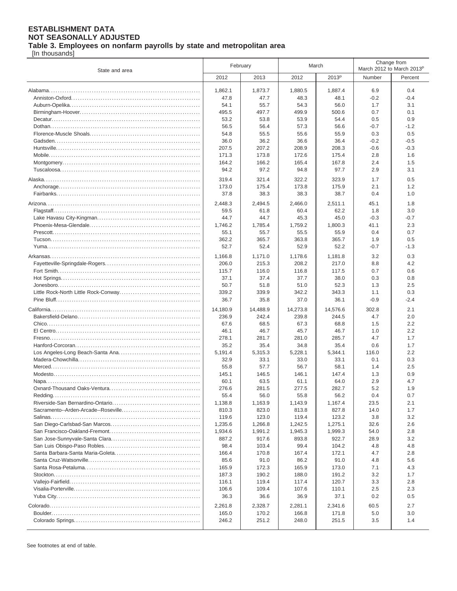**Table 3. Employees on nonfarm payrolls by state and metropolitan area**

[In thousands]

| State and area |          | February | March    |                   | Change from<br>March 2012 to March 2013 <sup>p</sup> |         |
|----------------|----------|----------|----------|-------------------|------------------------------------------------------|---------|
|                | 2012     | 2013     | 2012     | 2013 <sup>p</sup> | Number                                               | Percent |
|                | 1,862.1  | 1,873.7  | 1,880.5  | 1,887.4           | 6.9                                                  | 0.4     |
|                | 47.8     | 47.7     | 48.3     | 48.1              | -0.2                                                 | $-0.4$  |
|                | 54.1     | 55.7     | 54.3     | 56.0              | 1.7                                                  | 3.1     |
|                | 495.5    | 497.7    | 499.9    | 500.6             | 0.7                                                  | 0.1     |
|                | 53.2     | 53.8     | 53.9     | 54.4              | 0.5                                                  | 0.9     |
|                | 56.5     | 56.4     | 57.3     | 56.6              | $-0.7$                                               | $-1.2$  |
|                | 54.8     | 55.5     | 55.6     | 55.9              | 0.3                                                  | 0.5     |
|                | 36.0     | 36.2     | 36.6     | 36.4              | $-0.2$                                               | $-0.5$  |
|                | 207.5    | 207.2    | 208.9    | 208.3             | -0.6                                                 | $-0.3$  |
|                | 171.3    | 173.8    | 172.6    | 175.4             | 2.8                                                  | 1.6     |
|                | 164.2    | 166.2    | 165.4    | 167.8             | 2.4                                                  | 1.5     |
|                | 94.2     | 97.2     | 94.8     | 97.7              | 2.9                                                  | 3.1     |
|                | 319.4    | 321.4    | 322.2    | 323.9             | 1.7                                                  | 0.5     |
|                | 173.0    | 175.4    | 173.8    | 175.9             | 2.1                                                  | 1.2     |
|                | 37.8     | 38.3     | 38.3     | 38.7              | 0.4                                                  | 1.0     |
|                | 2,448.3  | 2,494.5  | 2,466.0  | 2.511.1           | 45.1                                                 | 1.8     |
|                | 59.5     | 61.8     | 60.4     | 62.2              | 1.8                                                  | 3.0     |
|                | 44.7     | 44.7     | 45.3     | 45.0              | $-0.3$                                               | $-0.7$  |
|                | 1,746.2  | 1,785.4  | 1,759.2  | 1.800.3           | 41.1                                                 | 2.3     |
|                | 55.1     | 55.7     | 55.5     | 55.9              | 0.4                                                  | 0.7     |
|                | 362.2    | 365.7    | 363.8    | 365.7             | 1.9                                                  | 0.5     |
|                | 52.7     | 52.4     | 52.9     | 52.2              | $-0.7$                                               | $-1.3$  |
|                | 1.166.8  | 1,171.0  | 1.178.6  | 1,181.8           | 3.2                                                  | 0.3     |
|                | 206.0    | 215.3    | 208.2    | 217.0             | 8.8                                                  | 4.2     |
|                | 115.7    | 116.0    | 116.8    | 117.5             | 0.7                                                  | 0.6     |
|                | 37.1     | 37.4     | 37.7     | 38.0              | 0.3                                                  | 0.8     |
|                | 50.7     | 51.8     | 51.0     | 52.3              | 1.3                                                  | 2.5     |
|                | 339.2    | 339.9    | 342.2    | 343.3             | 1.1                                                  | 0.3     |
|                | 36.7     | 35.8     | 37.0     | 36.1              | $-0.9$                                               | $-2.4$  |
|                | 14,180.9 | 14,488.9 | 14,273.8 | 14,576.6          | 302.8                                                | 2.1     |
|                | 236.9    | 242.4    | 239.8    | 244.5             | 4.7                                                  | 2.0     |
|                | 67.6     | 68.5     | 67.3     | 68.8              | 1.5                                                  | 2.2     |
|                | 46.1     | 46.7     | 45.7     | 46.7              | 1.0                                                  | 2.2     |
|                | 278.1    | 281.7    | 281.0    | 285.7             | 4.7                                                  | 1.7     |
|                | 35.2     | 35.4     | 34.8     | 35.4              | 0.6                                                  | 1.7     |
|                | 5,191.4  | 5,315.3  | 5,228.1  | 5,344.1           | 116.0                                                | 2.2     |
|                | 32.9     | 33.1     | 33.0     | 33.1              | 0.1                                                  | 0.3     |
|                | 55.8     | 57.7     | 56.7     | 58.1              | 1.4                                                  | 2.5     |
|                | 145.1    | 146.5    | 146.1    | 147.4             | 1.3                                                  | 0.9     |
|                | 60.1     | 63.5     | 61.1     | 64.0              | 2.9                                                  | 4.7     |
|                | 276.6    | 281.5    | 277.5    | 282.7             | 5.2                                                  | 1.9     |
|                | 55.4     | 56.0     | 55.8     | 56.2              | 0.4                                                  | 0.7     |
|                | 1,138.8  | 1,163.9  | 1,143.9  | 1,167.4           | 23.5                                                 | 2.1     |
|                | 810.3    | 823.0    | 813.8    | 827.8             | 14.0                                                 | 1.7     |
|                | 119.6    | 123.0    | 119.4    | 123.2             | 3.8                                                  | 3.2     |
|                | 1,235.6  | 1,266.8  | 1,242.5  | 1,275.1           | 32.6                                                 | 2.6     |
|                | 1,934.6  | 1,991.2  | 1,945.3  | 1,999.3           | 54.0                                                 | 2.8     |
|                | 887.2    | 917.6    | 893.8    | 922.7             | 28.9                                                 | 3.2     |
|                | 98.4     | 103.4    | 99.4     | 104.2             | 4.8                                                  | 4.8     |
|                | 166.4    | 170.8    | 167.4    | 172.1             | 4.7                                                  | 2.8     |
|                | 85.6     | 91.0     | 86.2     | 91.0              | 4.8                                                  | 5.6     |
|                | 165.9    | 172.3    | 165.9    | 173.0             | 7.1                                                  | 4.3     |
|                | 187.3    | 190.2    | 188.0    | 191.2             | 3.2                                                  | 1.7     |
|                | 116.1    | 119.4    | 117.4    | 120.7             | 3.3                                                  | 2.8     |
|                | 106.6    | 109.4    | 107.6    | 110.1             | 2.5                                                  | 2.3     |
|                | 36.3     | 36.6     | 36.9     | 37.1              | 0.2                                                  | 0.5     |
|                | 2,261.8  | 2,328.7  | 2,281.1  | 2,341.6           | 60.5                                                 | 2.7     |
|                | 165.0    | 170.2    | 166.8    | 171.8             | 5.0                                                  | 3.0     |
|                | 246.2    | 251.2    | 248.0    | 251.5             | 3.5                                                  | 1.4     |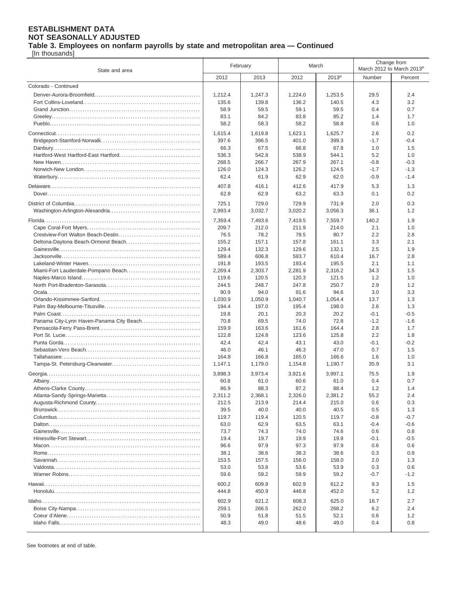**Table 3. Employees on nonfarm payrolls by state and metropolitan area — Continued**

[In thousands]

| State and area                           | February       |                  | March            |                   | Change from<br>March 2012 to March 2013 <sup>p</sup> |            |
|------------------------------------------|----------------|------------------|------------------|-------------------|------------------------------------------------------|------------|
|                                          | 2012           | 2013             | 2012             | 2013 <sup>p</sup> | Number                                               | Percent    |
| Colorado - Continued                     |                |                  |                  |                   |                                                      |            |
|                                          | 1,212.4        | 1,247.3          | 1,224.0          | 1,253.5           | 29.5                                                 | 2.4        |
|                                          | 135.6          | 139.8            | 136.2            | 140.5             | 4.3                                                  | 3.2        |
|                                          | 58.9           | 59.5             | 59.1             | 59.5              | 0.4                                                  | 0.7        |
|                                          | 83.1           | 84.2             | 83.8             | 85.2              | 1.4                                                  | 1.7        |
|                                          | 58.2           | 58.3             | 58.2             | 58.8              | 0.6                                                  | 1.0        |
|                                          | 1,615.4        | 1,619.8          | 1,623.1          | 1,625.7           | 2.6                                                  | 0.2        |
|                                          | 397.6          | 396.5            | 401.0            | 399.3             | $-1.7$                                               | $-0.4$     |
|                                          | 66.3           | 67.5             | 66.8             | 67.8              | 1.0                                                  | 1.5        |
|                                          | 536.3          | 542.8            | 538.9            | 544.1             | 5.2                                                  | 1.0        |
|                                          | 268.5          | 266.7            | 267.9            | 267.1             | $-0.8$                                               | $-0.3$     |
|                                          | 126.0          | 124.3            | 126.2            | 124.5             | $-1.7$                                               | $-1.3$     |
|                                          | 62.4           | 61.9             | 62.9             | 62.0              | $-0.9$                                               | $-1.4$     |
|                                          | 407.8          | 416.1            | 412.6            | 417.9             | 5.3                                                  | 1.3        |
|                                          | 62.8           | 62.9             | 63.2             | 63.3              | 0.1                                                  | 0.2        |
|                                          |                |                  |                  |                   |                                                      |            |
|                                          | 725.1          | 729.0<br>3,032.7 | 729.9<br>3,020.2 | 731.9<br>3,056.3  | 2.0<br>36.1                                          | 0.3<br>1.2 |
|                                          | 2,993.4        |                  |                  |                   |                                                      |            |
|                                          | 7,359.4        | 7,493.6          | 7,419.5          | 7,559.7           | 140.2                                                | 1.9        |
|                                          | 209.7          | 212.0            | 211.9            | 214.0             | 2.1                                                  | 1.0        |
|                                          | 76.5           | 78.2             | 78.5             | 80.7              | 2.2                                                  | 2.8        |
| Deltona-Daytona Beach-Ormond Beach       | 155.2          | 157.1            | 157.8            | 161.1             | 3.3                                                  | 2.1        |
|                                          | 129.4          | 132.3            | 129.6            | 132.1             | 2.5                                                  | 1.9        |
|                                          | 589.4<br>191.8 | 606.8<br>193.5   | 593.7<br>193.4   | 610.4<br>195.5    | 16.7<br>2.1                                          | 2.8<br>1.1 |
|                                          | 2,269.4        | 2,303.7          | 2,281.9          | 2,316.2           | 34.3                                                 | 1.5        |
|                                          | 119.6          | 120.5            | 120.3            | 121.5             | 1.2                                                  | 1.0        |
|                                          | 244.5          | 248.7            | 247.8            | 250.7             | 2.9                                                  | 1.2        |
|                                          | 90.9           | 94.0             | 91.6             | 94.6              | 3.0                                                  | 3.3        |
|                                          | 1,030.9        | 1,050.9          | 1,040.7          | 1,054.4           | 13.7                                                 | 1.3        |
|                                          | 194.4          | 197.0            | 195.4            | 198.0             | 2.6                                                  | 1.3        |
|                                          | 19.8           | 20.1             | 20.3             | 20.2              | $-0.1$                                               | $-0.5$     |
| Panama City-Lynn Haven-Panama City Beach | 70.8           | 69.5             | 74.0             | 72.8              | $-1.2$                                               | $-1.6$     |
|                                          | 159.9          | 163.6            | 161.6            | 164.4             | 2.8                                                  | 1.7        |
|                                          | 122.8          | 124.8            | 123.6            | 125.8             | 2.2                                                  | 1.8        |
|                                          | 42.4           | 42.4             | 43.1             | 43.0              | $-0.1$                                               | $-0.2$     |
|                                          | 46.0           | 46.1             | 46.3             | 47.0              | 0.7                                                  | 1.5        |
|                                          | 164.8          | 166.8            | 165.0            | 166.6             | 1.6                                                  | 1.0        |
|                                          | 1.147.1        | 1,179.0          | 1,154.8          | 1,190.7           | 35.9                                                 | 3.1        |
|                                          | 3,898.3        | 3,973.4          | 3,921.6          | 3,997.1           | 75.5                                                 | 1.9        |
|                                          | 60.8           | 61.0             | 60.6             | 61.0              | 0.4                                                  | 0.7        |
|                                          | 86.9           | 88.3             | 87.2             | 88.4              | 1.2                                                  | 1.4        |
|                                          | 2,311.2        | 2,368.1          | 2,326.0          | 2,381.2           | 55.2                                                 | 2.4        |
|                                          | 212.5<br>39.5  | 213.9<br>40.0    | 214.4<br>40.0    | 215.0<br>40.5     | 0.6<br>0.5                                           | 0.3<br>1.3 |
|                                          | 119.7          | 119.4            | 120.5            | 119.7             | $-0.8$                                               | $-0.7$     |
|                                          | 63.0           | 62.9             | 63.5             | 63.1              | -0.4                                                 | $-0.6$     |
|                                          | 73.7           | 74.3             | 74.0             | 74.6              | 0.6                                                  | 0.8        |
|                                          | 19.4           | 19.7             | 19.9             | 19.8              | -0.1                                                 | $-0.5$     |
|                                          | 96.6           | 97.9             | 97.3             | 97.9              | 0.6                                                  | 0.6        |
|                                          | 38.1           | 38.6             | 38.3             | 38.6              | 0.3                                                  | 0.8        |
|                                          | 153.5          | 157.5            | 156.0            | 158.0             | 2.0                                                  | 1.3        |
|                                          | 53.0           | 53.8             | 53.6             | 53.9              | 0.3                                                  | 0.6        |
|                                          | 59.6           | 59.2             | 59.9             | 59.2              | $-0.7$                                               | $-1.2$     |
|                                          | 600.2          | 609.9            | 602.9            | 612.2             | 9.3                                                  | 1.5        |
|                                          | 444.8          | 450.9            | 446.8            | 452.0             | 5.2                                                  | 1.2        |
|                                          | 602.9          | 621.2            | 608.3            | 625.0             | 16.7                                                 | 2.7        |
|                                          | 259.1          | 266.5            | 262.0            | 268.2             | 6.2                                                  | 2.4        |
|                                          | 50.9           | 51.8             | 51.5             | 52.1              | 0.6                                                  | 1.2        |
|                                          | 48.3           | 49.0             | 48.6             | 49.0              | 0.4                                                  | 0.8        |
|                                          |                |                  |                  |                   |                                                      |            |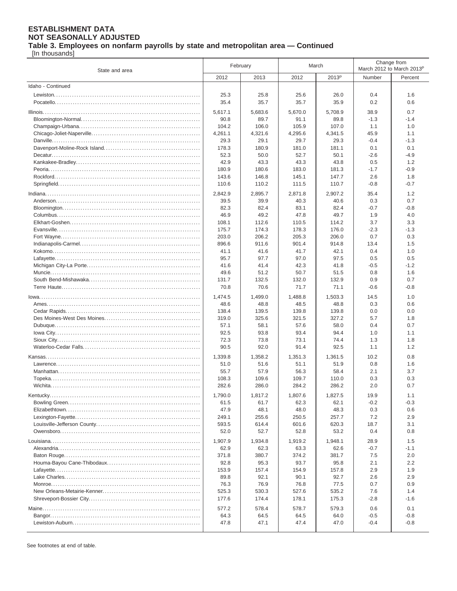**Table 3. Employees on nonfarm payrolls by state and metropolitan area — Continued**

[In thousands]

| State and area    | February       |                | March          |                   | Change from<br>March 2012 to March 2013 <sup>P</sup> |               |
|-------------------|----------------|----------------|----------------|-------------------|------------------------------------------------------|---------------|
|                   | 2012           | 2013           | 2012           | 2013 <sup>P</sup> | Number                                               | Percent       |
| Idaho - Continued |                |                |                |                   |                                                      |               |
|                   | 25.3           | 25.8           | 25.6           | 26.0              | 0.4                                                  | 1.6           |
|                   | 35.4           | 35.7           | 35.7           | 35.9              | 0.2                                                  | 0.6           |
|                   | 5,617.1        | 5,683.6        | 5,670.0        | 5.708.9           | 38.9                                                 | 0.7           |
|                   | 90.8           | 89.7           | 91.1           | 89.8              | $-1.3$                                               | $-1.4$        |
|                   | 104.2          | 106.0          | 105.9          | 107.0             | 1.1                                                  | 1.0           |
|                   | 4,261.1        | 4,321.6        | 4,295.6        | 4,341.5           | 45.9                                                 | 1.1           |
|                   | 29.3           | 29.1           | 29.7           | 29.3              | $-0.4$                                               | $-1.3$        |
|                   | 178.3          | 180.9          | 181.0          | 181.1             | 0.1                                                  | 0.1           |
|                   | 52.3           | 50.0           | 52.7           | 50.1              | $-2.6$                                               | $-4.9$        |
|                   | 42.9           | 43.3           | 43.3           | 43.8              | 0.5                                                  | 1.2           |
|                   | 180.9          | 180.6          | 183.0          | 181.3             | $-1.7$                                               | $-0.9$        |
|                   | 143.6          | 146.8          | 145.1          | 147.7             | 2.6                                                  | 1.8           |
|                   | 110.6          | 110.2          | 111.5          | 110.7             | $-0.8$                                               | $-0.7$        |
|                   | 2,842.9        | 2,895.7        | 2,871.8        | 2,907.2           | 35.4                                                 | 1.2           |
|                   | 39.5           | 39.9           | 40.3           | 40.6              | 0.3                                                  | 0.7           |
|                   | 82.3           | 82.4           | 83.1           | 82.4              | $-0.7$                                               | $-0.8$        |
|                   | 46.9           | 49.2           | 47.8           | 49.7              | 1.9                                                  | 4.0           |
|                   | 108.1          | 112.6          | 110.5          | 114.2             | 3.7                                                  | 3.3           |
|                   | 175.7          | 174.3          | 178.3          | 176.0             | $-2.3$                                               | $-1.3$        |
|                   | 203.0<br>896.6 | 206.2<br>911.6 | 205.3<br>901.4 | 206.0<br>914.8    | 0.7<br>13.4                                          | 0.3<br>1.5    |
|                   | 41.1           | 41.6           | 41.7           | 42.1              | 0.4                                                  | 1.0           |
|                   | 95.7           | 97.7           | 97.0           | 97.5              | 0.5                                                  | 0.5           |
|                   | 41.6           | 41.4           | 42.3           | 41.8              | $-0.5$                                               | $-1.2$        |
|                   | 49.6           | 51.2           | 50.7           | 51.5              | 0.8                                                  | 1.6           |
|                   | 131.7          | 132.5          | 132.0          | 132.9             | 0.9                                                  | 0.7           |
|                   | 70.8           | 70.6           | 71.7           | 71.1              | $-0.6$                                               | $-0.8$        |
|                   | 1,474.5        | 1,499.0        | 1,488.8        | 1,503.3           | 14.5                                                 | 1.0           |
|                   | 48.6           | 48.8           | 48.5           | 48.8              | 0.3                                                  | 0.6           |
|                   | 138.4          | 139.5          | 139.8          | 139.8             | 0.0                                                  | 0.0           |
|                   | 319.0          | 325.6          | 321.5          | 327.2             | 5.7                                                  | 1.8           |
|                   | 57.1           | 58.1           | 57.6           | 58.0              | 0.4                                                  | 0.7           |
|                   | 92.5           | 93.8           | 93.4           | 94.4              | 1.0                                                  | 1.1           |
|                   | 72.3           | 73.8           | 73.1           | 74.4              | 1.3                                                  | 1.8           |
|                   | 90.5           | 92.0           | 91.4           | 92.5              | 1.1                                                  | 1.2           |
|                   | 1,339.8        | 1,358.2        | 1,351.3        | 1,361.5           | 10.2                                                 | 0.8           |
|                   | 51.0           | 51.6           | 51.1           | 51.9              | 0.8                                                  | 1.6           |
|                   | 55.7           | 57.9           | 56.3           | 58.4              | 2.1                                                  | 3.7           |
|                   | 108.3          | 109.6          | 109.7          | 110.0             | 0.3                                                  | 0.3           |
|                   | 282.6          | 286.0          | 284.2          | 286.2             | 2.0                                                  | 0.7           |
|                   | 1,790.0        | 1,817.2        | 1,807.6        | 1,827.5           | 19.9                                                 | 1.1           |
|                   | 61.5           | 61.7           | 62.3           | 62.1              | $-0.2$                                               | $-0.3$        |
|                   | 47.9           | 48.1           | 48.0           | 48.3              | 0.3                                                  | 0.6           |
|                   | 249.1<br>593.5 | 255.6<br>614.4 | 250.5<br>601.6 | 257.7<br>620.3    | 7.2<br>18.7                                          | 2.9<br>3.1    |
|                   | 52.0           | 52.7           | 52.8           | 53.2              | 0.4                                                  | 0.8           |
|                   |                |                |                |                   |                                                      |               |
|                   | 1,907.9        | 1,934.8        | 1,919.2        | 1,948.1           | 28.9                                                 | 1.5           |
|                   | 62.9<br>371.8  | 62.3<br>380.7  | 63.3<br>374.2  | 62.6<br>381.7     | $-0.7$<br>7.5                                        | $-1.1$<br>2.0 |
|                   | 92.8           | 95.3           | 93.7           | 95.8              | 2.1                                                  | 2.2           |
|                   | 153.9          | 157.4          | 154.9          | 157.8             | 2.9                                                  | 1.9           |
|                   | 89.8           | 92.1           | 90.1           | 92.7              | 2.6                                                  | 2.9           |
|                   | 76.3           | 76.9           | 76.8           | 77.5              | 0.7                                                  | 0.9           |
|                   | 525.3          | 530.3          | 527.6          | 535.2             | 7.6                                                  | 1.4           |
|                   | 177.6          | 174.4          | 178.1          | 175.3             | $-2.8$                                               | $-1.6$        |
|                   | 577.2          | 578.4          | 578.7          | 579.3             | 0.6                                                  | 0.1           |
|                   | 64.3           | 64.5           | 64.5           | 64.0              | $-0.5$                                               | $-0.8$        |
|                   | 47.8           | 47.1           | 47.4           | 47.0              | $-0.4$                                               | $-0.8$        |
|                   |                |                |                |                   |                                                      |               |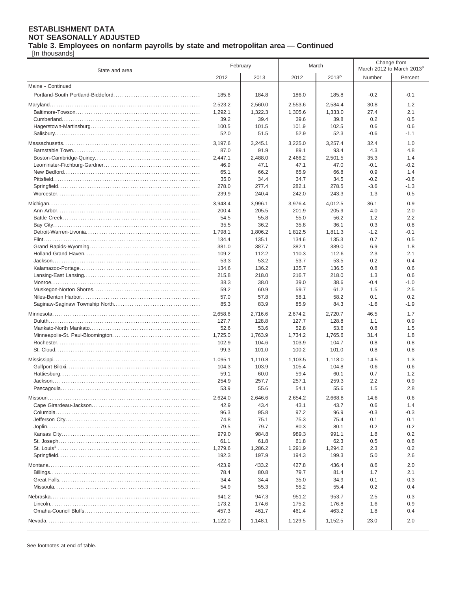[In thousands]

| State and area    | February        |                 | March           |                   | Change from<br>March 2012 to March 2013 <sup>p</sup> |               |
|-------------------|-----------------|-----------------|-----------------|-------------------|------------------------------------------------------|---------------|
|                   | 2012            | 2013            | 2012            | 2013 <sup>p</sup> | Number                                               | Percent       |
| Maine - Continued |                 |                 |                 |                   |                                                      |               |
|                   | 185.6           | 184.8           | 186.0           | 185.8             | $-0.2$                                               | $-0.1$        |
|                   | 2,523.2         | 2,560.0         | 2,553.6         | 2,584.4           | 30.8                                                 | 1.2           |
|                   | 1,292.1         | 1,322.3         | 1,305.6         | 1,333.0           | 27.4                                                 | 2.1           |
|                   | 39.2            | 39.4            | 39.6            | 39.8              | 0.2                                                  | 0.5           |
|                   | 100.5           | 101.5           | 101.9           | 102.5             | 0.6                                                  | 0.6           |
|                   | 52.0            | 51.5            | 52.9            | 52.3              | $-0.6$                                               | $-1.1$        |
|                   | 3,197.6         | 3.245.1         | 3,225.0         | 3,257.4           | 32.4                                                 | 1.0           |
|                   | 87.0            | 91.9            | 89.1            | 93.4              | 4.3                                                  | 4.8           |
|                   | 2,447.1         | 2,488.0         | 2,466.2         | 2,501.5           | 35.3                                                 | 1.4           |
|                   | 46.9            | 47.1            | 47.1            | 47.0              | $-0.1$                                               | $-0.2$        |
|                   | 65.1            | 66.2            | 65.9            | 66.8              | 0.9                                                  | 1.4           |
|                   | 35.0            | 34.4            | 34.7            | 34.5              | $-0.2$                                               | $-0.6$        |
|                   | 278.0           | 277.4           | 282.1           | 278.5             | $-3.6$                                               | $-1.3$        |
|                   | 239.9           | 240.4           | 242.0           | 243.3             | 1.3                                                  | 0.5           |
|                   | 3,948.4         | 3,996.1         | 3,976.4         | 4,012.5           | 36.1                                                 | 0.9           |
|                   | 200.4           | 205.5           | 201.9           | 205.9             | 4.0                                                  | 2.0           |
|                   | 54.5            | 55.8            | 55.0            | 56.2              | 1.2                                                  | 2.2           |
|                   | 35.5<br>1,798.1 | 36.2<br>1.806.2 | 35.8<br>1.812.5 | 36.1<br>1.811.3   | 0.3<br>$-1.2$                                        | 0.8<br>$-0.1$ |
|                   | 134.4           | 135.1           | 134.6           | 135.3             | 0.7                                                  | 0.5           |
|                   | 381.0           | 387.7           | 382.1           | 389.0             | 6.9                                                  | 1.8           |
|                   | 109.2           | 112.2           | 110.3           | 112.6             | 2.3                                                  | 2.1           |
|                   | 53.3            | 53.2            | 53.7            | 53.5              | $-0.2$                                               | $-0.4$        |
|                   | 134.6           | 136.2           | 135.7           | 136.5             | 0.8                                                  | 0.6           |
|                   | 215.8           | 218.0           | 216.7           | 218.0             | 1.3                                                  | 0.6           |
|                   | 38.3            | 38.0            | 39.0            | 38.6              | -0.4                                                 | $-1.0$        |
|                   | 59.2            | 60.9            | 59.7            | 61.2              | 1.5                                                  | 2.5           |
|                   | 57.0            | 57.8            | 58.1            | 58.2              | 0.1                                                  | 0.2           |
|                   | 85.3            | 83.9            | 85.9            | 84.3              | $-1.6$                                               | $-1.9$        |
|                   | 2,658.6         | 2,716.6         | 2,674.2         | 2,720.7           | 46.5                                                 | 1.7           |
|                   | 127.7           | 128.8           | 127.7           | 128.8             | 1.1                                                  | 0.9           |
|                   | 52.6            | 53.6            | 52.8            | 53.6              | 0.8                                                  | 1.5           |
|                   | 1,725.0         | 1,763.9         | 1,734.2         | 1,765.6           | 31.4                                                 | 1.8           |
|                   | 102.9           | 104.6           | 103.9           | 104.7             | 0.8                                                  | 0.8           |
|                   | 99.3            | 101.0           | 100.2           | 101.0             | 0.8                                                  | 0.8           |
|                   | 1,095.1         | 1,110.8         | 1,103.5         | 1,118.0           | 14.5                                                 | 1.3           |
|                   | 104.3           | 103.9           | 105.4           | 104.8             | $-0.6$                                               | $-0.6$        |
|                   | 59.1            | 60.0            | 59.4            | 60.1              | 0.7                                                  | 1.2           |
|                   | 254.9<br>53.9   | 257.7<br>55.6   | 257.1<br>54.1   | 259.3<br>55.6     | 2.2<br>1.5                                           | 0.9<br>2.8    |
|                   |                 |                 |                 |                   |                                                      |               |
|                   | 2,624.0         | 2,646.6         | 2,654.2         | 2,668.8           | 14.6                                                 | 0.6           |
|                   | 42.9            | 43.4            | 43.1            | 43.7              | 0.6                                                  | 1.4           |
|                   | 96.3<br>74.8    | 95.8<br>75.1    | 97.2<br>75.3    | 96.9<br>75.4      | $-0.3$<br>0.1                                        | $-0.3$<br>0.1 |
|                   | 79.5            | 79.7            | 80.3            | 80.1              | $-0.2$                                               | -0.2          |
|                   | 979.0           | 984.8           | 989.3           | 991.1             | 1.8                                                  | 0.2           |
|                   | 61.1            | 61.8            | 61.8            | 62.3              | 0.5                                                  | 0.8           |
|                   | 1,279.6         | 1,286.2         | 1,291.9         | 1,294.2           | 2.3                                                  | 0.2           |
|                   | 192.3           | 197.9           | 194.3           | 199.3             | 5.0                                                  | 2.6           |
|                   | 423.9           | 433.2           | 427.8           | 436.4             | 8.6                                                  | 2.0           |
|                   | 78.4            | 80.8            | 79.7            | 81.4              | 1.7                                                  | 2.1           |
|                   | 34.4            | 34.4            | 35.0            | 34.9              | $-0.1$                                               | $-0.3$        |
|                   | 54.9            | 55.3            | 55.2            | 55.4              | 0.2                                                  | 0.4           |
|                   | 941.2           | 947.3           | 951.2           | 953.7             | 2.5                                                  | 0.3           |
|                   | 173.2           | 174.6           | 175.2           | 176.8             | 1.6                                                  | 0.9           |
|                   | 457.3           | 461.7           | 461.4           | 463.2             | 1.8                                                  | 0.4           |
|                   | 1,122.0         | 1,148.1         | 1,129.5         | 1,152.5           | 23.0                                                 | 2.0           |
|                   |                 |                 |                 |                   |                                                      |               |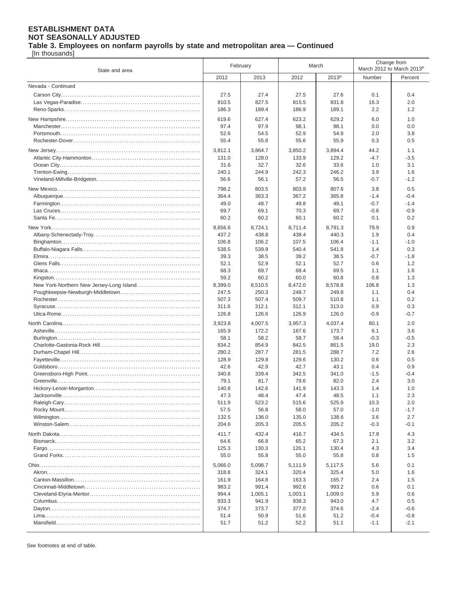**Table 3. Employees on nonfarm payrolls by state and metropolitan area — Continued**

[In thousands]

| State and area     | February       |                | March          |                   | Change from<br>March 2012 to March 2013 <sup>P</sup> |                  |
|--------------------|----------------|----------------|----------------|-------------------|------------------------------------------------------|------------------|
|                    | 2012           | 2013           | 2012           | 2013 <sup>P</sup> | Number                                               | Percent          |
| Nevada - Continued |                |                |                |                   |                                                      |                  |
|                    | 27.5           | 27.4           | 27.5           | 27.6              | 0.1                                                  | 0.4              |
|                    | 810.5          | 827.5          | 815.5          | 831.8             | 16.3                                                 | 2.0              |
|                    | 186.3          | 189.4          | 186.9          | 189.1             | 2.2                                                  | 1.2              |
|                    |                |                |                |                   |                                                      |                  |
|                    | 619.6<br>97.4  | 627.4<br>97.9  | 623.2<br>98.1  | 629.2<br>98.1     | 6.0<br>0.0                                           | 1.0<br>0.0       |
|                    | 52.6           | 54.5           | 52.9           | 54.9              | 2.0                                                  | 3.8              |
|                    | 55.4           | 55.8           | 55.6           | 55.9              | 0.3                                                  | 0.5              |
|                    |                |                |                |                   |                                                      |                  |
|                    | 3,812.1        | 3.864.7        | 3.850.2        | 3,894.4           | 44.2                                                 | 1.1              |
|                    | 131.0<br>31.6  | 128.0<br>32.7  | 133.9<br>32.6  | 129.2<br>33.6     | $-4.7$<br>1.0                                        | $-3.5$<br>3.1    |
|                    | 240.1          | 244.9          | 242.3          | 246.2             | 3.9                                                  | 1.6              |
|                    | 56.6           | 56.1           | 57.2           | 56.5              | $-0.7$                                               | $-1.2$           |
|                    |                |                |                |                   |                                                      |                  |
|                    | 798.2          | 803.5          | 803.8          | 807.6             | 3.8                                                  | 0.5              |
|                    | 364.4<br>49.0  | 363.3<br>48.7  | 367.2<br>49.8  | 365.8<br>49.1     | $-1.4$<br>$-0.7$                                     | $-0.4$<br>$-1.4$ |
|                    | 69.7           | 69.1           | 70.3           | 69.7              | $-0.6$                                               | $-0.9$           |
|                    | 60.2           | 60.2           | 60.1           | 60.2              | 0.1                                                  | 0.2              |
|                    |                |                |                |                   |                                                      |                  |
|                    | 8,656.6        | 8,724.1        | 8,711.4        | 8,791.3           | 79.9                                                 | 0.9              |
|                    | 437.2<br>106.8 | 438.8<br>106.2 | 438.4<br>107.5 | 440.3<br>106.4    | 1.9<br>$-1.1$                                        | 0.4<br>$-1.0$    |
|                    | 538.5          | 539.9          | 540.4          | 541.8             | 1.4                                                  | 0.3              |
|                    | 39.3           | 38.5           | 39.2           | 38.5              | $-0.7$                                               | $-1.8$           |
|                    | 52.1           | 52.9           | 52.1           | 52.7              | 0.6                                                  | 1.2              |
|                    | 68.3           | 69.7           | 68.4           | 69.5              | 1.1                                                  | 1.6              |
|                    | 59.2           | 60.2           | 60.0           | 60.8              | 0.8                                                  | 1.3              |
|                    | 8,399.0        | 8,510.5        | 8,472.0        | 8,578.8           | 106.8                                                | 1.3              |
|                    | 247.5          | 250.3          | 248.7          | 249.8             | 1.1                                                  | 0.4              |
|                    | 507.3          | 507.4          | 509.7          | 510.8             | 1.1                                                  | 0.2              |
|                    | 311.6          | 312.1          | 312.1          | 313.0             | 0.9                                                  | 0.3              |
|                    | 126.8          | 126.6          | 126.9          | 126.0             | $-0.9$                                               | $-0.7$           |
|                    | 3,923.8        | 4,007.5        | 3,957.3        | 4,037.4           | 80.1                                                 | 2.0              |
|                    | 165.9          | 172.2          | 167.6          | 173.7             | 6.1                                                  | 3.6              |
|                    | 58.1           | 58.2           | 58.7           | 58.4              | $-0.3$                                               | $-0.5$           |
|                    | 834.2          | 854.9          | 842.5          | 861.5             | 19.0                                                 | 2.3              |
|                    | 280.2          | 287.7          | 281.5          | 288.7             | 7.2                                                  | 2.6              |
|                    | 128.9          | 129.8          | 129.6          | 130.2             | 0.6                                                  | 0.5              |
|                    | 42.6<br>340.8  | 42.9<br>339.4  | 42.7<br>342.5  | 43.1              | 0.4<br>$-1.5$                                        | 0.9<br>$-0.4$    |
|                    | 79.1           | 81.7           | 79.6           | 341.0<br>82.0     | 2.4                                                  | 3.0              |
|                    | 140.8          | 142.6          | 141.9          | 143.3             | 1.4                                                  | 1.0              |
|                    | 47.3           | 48.4           | 47.4           | 48.5              | 1.1                                                  | 2.3              |
|                    | 511.9          | 523.2          | 515.6          | 525.9             | 10.3                                                 | 2.0              |
|                    | 57.5           | 56.8           | 58.0           | 57.0              | $-1.0$                                               | $-1.7$           |
|                    | 132.5          | 136.0          | 135.0          | 138.6             | 3.6                                                  | 2.7              |
|                    | 204.6          | 205.3          | 205.5          | 205.2             | $-0.3$                                               | $-0.1$           |
|                    | 411.7          | 432.4          | 416.7          | 434.5             | 17.8                                                 | 4.3              |
|                    | 64.6           | 66.8           | 65.2           | 67.3              | 2.1                                                  | 3.2              |
|                    | 125.3          | 130.3          | 126.1          | 130.4             | 4.3                                                  | 3.4              |
|                    | 55.0           | 55.8           | 55.0           | 55.8              | 0.8                                                  | 1.5              |
|                    | 5,066.0        | 5,098.7        | 5,111.9        | 5,117.5           | 5.6                                                  | 0.1              |
|                    | 318.8          | 324.1          | 320.4          | 325.4             | 5.0                                                  | 1.6              |
|                    | 161.9          | 164.8          | 163.3          | 165.7             | 2.4                                                  | 1.5              |
|                    | 983.2          | 991.4          | 992.6          | 993.2             | 0.6                                                  | 0.1              |
|                    | 994.4          | 1,005.1        | 1,003.1        | 1,009.0           | 5.9                                                  | 0.6              |
|                    | 933.3          | 941.9          | 938.3          | 943.0             | 4.7                                                  | 0.5              |
|                    | 374.7          | 373.7          | 377.0          | 374.6             | $-2.4$                                               | $-0.6$           |
|                    | 51.4           | 50.9           | 51.6           | 51.2              | $-0.4$                                               | $-0.8$           |
|                    | 51.7           | 51.2           | 52.2           | 51.1              | $-1.1$                                               | $-2.1$           |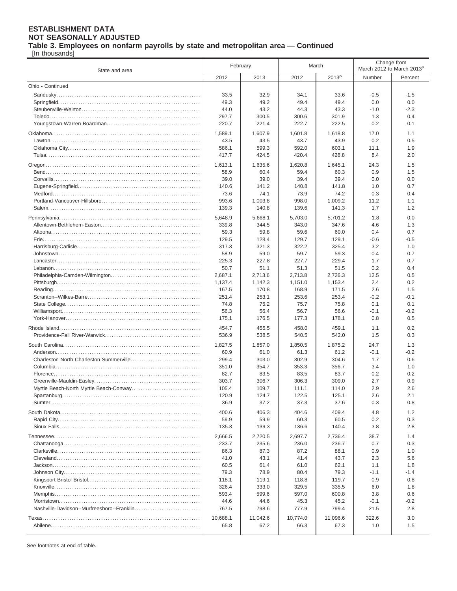[In thousands]

| State and area                             | February         |                  | March            |                   | Change from<br>March 2012 to March 2013 <sup>P</sup> |               |
|--------------------------------------------|------------------|------------------|------------------|-------------------|------------------------------------------------------|---------------|
|                                            | 2012             | 2013             | 2012             | 2013 <sup>p</sup> | Number                                               | Percent       |
| Ohio - Continued                           |                  |                  |                  |                   |                                                      |               |
|                                            | 33.5             | 32.9             | 34.1             | 33.6              | $-0.5$                                               | $-1.5$        |
|                                            | 49.3             | 49.2             | 49.4             | 49.4              | 0.0                                                  | 0.0           |
|                                            | 44.0             | 43.2             | 44.3             | 43.3              | $-1.0$                                               | $-2.3$        |
|                                            | 297.7            | 300.5            | 300.6            | 301.9             | 1.3                                                  | 0.4           |
|                                            | 220.7            | 221.4            | 222.7            | 222.5             | $-0.2$                                               | $-0.1$        |
|                                            | 1,589.1          | 1,607.9          | 1,601.8          | 1,618.8           | 17.0                                                 | 1.1           |
|                                            | 43.5             | 43.5             | 43.7             | 43.9              | 0.2                                                  | 0.5           |
|                                            | 586.1            | 599.3            | 592.0            | 603.1             | 11.1                                                 | 1.9           |
|                                            | 417.7            | 424.5            | 420.4            | 428.8             | 8.4                                                  | 2.0           |
|                                            | 1,613.1          | 1,635.6          | 1,620.8          | 1,645.1           | 24.3                                                 | 1.5           |
|                                            | 58.9             | 60.4             | 59.4             | 60.3              | 0.9                                                  | 1.5           |
|                                            | 39.0             | 39.0             | 39.4             | 39.4              | 0.0                                                  | 0.0           |
|                                            | 140.6            | 141.2            | 140.8            | 141.8             | 1.0                                                  | 0.7           |
|                                            | 73.6             | 74.1             | 73.9             | 74.2              | 0.3                                                  | 0.4           |
|                                            | 993.6            | 1,003.8          | 998.0            | 1,009.2           | 11.2                                                 | 1.1           |
|                                            | 139.3            | 140.8            | 139.6            | 141.3             | 1.7                                                  | 1.2           |
|                                            | 5,648.9          | 5,668.1          | 5.703.0          | 5,701.2           | $-1.8$                                               | 0.0           |
|                                            | 339.8            | 344.5            | 343.0            | 347.6             | 4.6                                                  | 1.3           |
|                                            | 59.3             | 59.8             | 59.6             | 60.0              | 0.4                                                  | 0.7           |
|                                            | 129.5            | 128.4            | 129.7            | 129.1             | $-0.6$                                               | $-0.5$        |
|                                            | 317.3            | 321.3            | 322.2            | 325.4             | 3.2                                                  | 1.0           |
|                                            | 58.9             | 59.0             | 59.7             | 59.3              | $-0.4$                                               | $-0.7$        |
|                                            | 225.3            | 227.8            | 227.7            | 229.4             | 1.7                                                  | 0.7           |
|                                            | 50.7             | 51.1             | 51.3             | 51.5              | 0.2                                                  | 0.4           |
|                                            | 2,687.1          | 2,713.6          | 2,713.8          | 2,726.3           | 12.5<br>2.4                                          | 0.5<br>0.2    |
|                                            | 1,137.4<br>167.5 | 1,142.3<br>170.8 | 1,151.0<br>168.9 | 1,153.4<br>171.5  | 2.6                                                  | 1.5           |
|                                            | 251.4            | 253.1            | 253.6            | 253.4             | $-0.2$                                               | $-0.1$        |
|                                            | 74.8             | 75.2             | 75.7             | 75.8              | 0.1                                                  | 0.1           |
|                                            | 56.3             | 56.4             | 56.7             | 56.6              | $-0.1$                                               | $-0.2$        |
|                                            | 175.1            | 176.5            | 177.3            | 178.1             | 0.8                                                  | 0.5           |
|                                            | 454.7            | 455.5            | 458.0            | 459.1             | 1.1                                                  | 0.2           |
|                                            | 536.9            | 538.5            | 540.5            | 542.0             | 1.5                                                  | 0.3           |
|                                            | 1,827.5          | 1,857.0          | 1,850.5          | 1,875.2           | 24.7                                                 | 1.3           |
|                                            | 60.9             | 61.0             | 61.3             | 61.2              | $-0.1$                                               | $-0.2$        |
|                                            | 299.4            | 303.0            | 302.9            | 304.6             | 1.7                                                  | 0.6           |
|                                            | 351.0            | 354.7            | 353.3            | 356.7             | 3.4                                                  | 1.0           |
|                                            | 82.7             | 83.5             | 83.5             | 83.7              | 0.2                                                  | 0.2           |
|                                            | 303.7            | 306.7            | 306.3            | 309.0             | 2.7                                                  | 0.9           |
|                                            | 105.4            | 109.7            | 111.1            | 114.0             | 2.9                                                  | 2.6           |
|                                            | 120.9            | 124.7            | 122.5            | 125.1             | 2.6                                                  | 2.1           |
|                                            | 36.9             | 37.2             | 37.3             | 37.6              | 0.3                                                  | 0.8           |
|                                            | 400.6            | 406.3            | 404.6            | 409.4             | 4.8                                                  | 1.2           |
|                                            | 59.9             | 59.9             | 60.3             | 60.5              | 0.2                                                  | 0.3           |
|                                            | 135.3            | 139.3            | 136.6            | 140.4             | 3.8                                                  | 2.8           |
|                                            | 2,666.5          | 2,720.5          | 2,697.7          | 2,736.4           | 38.7                                                 | 1.4           |
|                                            | 233.7            | 235.6            | 236.0            | 236.7             | 0.7                                                  | 0.3           |
|                                            | 86.3             | 87.3             | 87.2             | 88.1              | 0.9                                                  | 1.0           |
|                                            | 41.0             | 43.1             | 41.4             | 43.7              | 2.3                                                  | 5.6           |
|                                            | 60.5             | 61.4             | 61.0             | 62.1              | 1.1                                                  | 1.8           |
|                                            | 79.3             | 78.9             | 80.4             | 79.3              | $-1.1$                                               | $-1.4$        |
|                                            | 118.1            | 119.1            | 118.8            | 119.7             | 0.9                                                  | 0.8           |
|                                            | 326.4            | 333.0            | 329.5            | 335.5             | 6.0                                                  | 1.8           |
|                                            | 593.4            | 599.6            | 597.0            | 600.8             | 3.8                                                  | 0.6           |
| Nashville-Davidson--Murfreesboro--Franklin | 44.6<br>767.5    | 44.6<br>798.6    | 45.3<br>777.9    | 45.2<br>799.4     | $-0.1$<br>21.5                                       | $-0.2$<br>2.8 |
|                                            |                  |                  |                  |                   |                                                      |               |
|                                            | 10,688.1         | 11,042.6         | 10,774.0         | 11,096.6          | 322.6                                                | 3.0           |
|                                            | 65.8             | 67.2             | 66.3             | 67.3              | 1.0                                                  | 1.5           |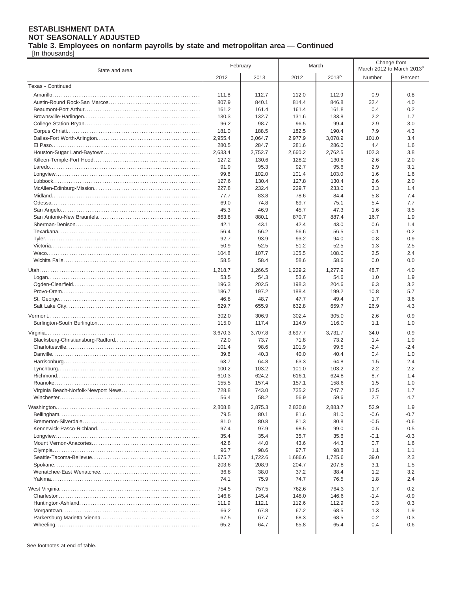[In thousands]

| State and area    | February        |                 | March           |                   | Change from<br>March 2012 to March 2013P |               |
|-------------------|-----------------|-----------------|-----------------|-------------------|------------------------------------------|---------------|
|                   | 2012            | 2013            | 2012            | 2013 <sup>p</sup> | Number                                   | Percent       |
| Texas - Continued |                 |                 |                 |                   |                                          |               |
|                   | 111.8           | 112.7           | 112.0           | 112.9             | 0.9                                      | 0.8           |
|                   | 807.9           | 840.1           | 814.4           | 846.8             | 32.4                                     | 4.0           |
|                   | 161.2           | 161.4           | 161.4           | 161.8             | 0.4                                      | 0.2           |
|                   | 130.3           | 132.7           | 131.6           | 133.8             | 2.2                                      | 1.7           |
|                   | 96.2            | 98.7            | 96.5            | 99.4              | 2.9                                      | 3.0           |
|                   | 181.0           | 188.5           | 182.5           | 190.4             | 7.9                                      | 4.3           |
|                   | 2,955.4         | 3,064.7         | 2,977.9         | 3,078.9           | 101.0                                    | 3.4           |
|                   | 280.5           | 284.7           | 281.6           | 286.0             | 4.4                                      | 1.6           |
|                   | 2,633.4         | 2.752.7         | 2,660.2         | 2,762.5           | 102.3                                    | 3.8           |
|                   | 127.2           | 130.6           | 128.2           | 130.8             | 2.6                                      | 2.0           |
|                   | 91.9            | 95.3            | 92.7<br>101.4   | 95.6<br>103.0     | 2.9<br>1.6                               | 3.1<br>1.6    |
|                   | 99.8<br>127.6   | 102.0<br>130.4  | 127.8           | 130.4             | 2.6                                      | 2.0           |
|                   | 227.8           | 232.4           | 229.7           | 233.0             | 3.3                                      | 1.4           |
|                   | 77.7            | 83.8            | 78.6            | 84.4              | 5.8                                      | 7.4           |
|                   | 69.0            | 74.8            | 69.7            | 75.1              | 5.4                                      | 7.7           |
|                   | 45.3            | 46.9            | 45.7            | 47.3              | 1.6                                      | 3.5           |
|                   | 863.8           | 880.1           | 870.7           | 887.4             | 16.7                                     | 1.9           |
|                   | 42.1            | 43.1            | 42.4            | 43.0              | 0.6                                      | 1.4           |
|                   | 56.4            | 56.2            | 56.6            | 56.5              | -0.1                                     | $-0.2$        |
|                   | 92.7            | 93.9            | 93.2            | 94.0              | 0.8                                      | 0.9           |
|                   | 50.9            | 52.5            | 51.2            | 52.5              | 1.3                                      | 2.5           |
|                   | 104.8           | 107.7           | 105.5           | 108.0             | 2.5                                      | 2.4           |
|                   | 58.5            | 58.4            | 58.6            | 58.6              | 0.0                                      | 0.0           |
|                   | 1,218.7         | 1,266.5         | 1,229.2         | 1,277.9           | 48.7                                     | 4.0           |
|                   | 53.5            | 54.3            | 53.6            | 54.6              | 1.0                                      | 1.9           |
|                   | 196.3           | 202.5           | 198.3           | 204.6             | 6.3                                      | 3.2           |
|                   | 186.7           | 197.2           | 188.4           | 199.2             | 10.8                                     | 5.7           |
|                   | 46.8            | 48.7            | 47.7            | 49.4              | 1.7                                      | 3.6           |
|                   | 629.7           | 655.9           | 632.8           | 659.7             | 26.9                                     | 4.3           |
|                   | 302.0           | 306.9           | 302.4           | 305.0             | 2.6                                      | 0.9           |
|                   | 115.0           | 117.4           | 114.9           | 116.0             | 1.1                                      | 1.0           |
|                   | 3,670.3         | 3,707.8         | 3,697.7         | 3,731.7           | 34.0                                     | 0.9           |
|                   | 72.0            | 73.7            | 71.8            | 73.2              | 1.4                                      | 1.9           |
|                   | 101.4           | 98.6            | 101.9           | 99.5              | $-2.4$                                   | $-2.4$        |
|                   | 39.8            | 40.3            | 40.0            | 40.4              | 0.4                                      | 1.0           |
|                   | 63.7            | 64.8            | 63.3            | 64.8              | 1.5                                      | 2.4           |
|                   | 100.2           | 103.2           | 101.0           | 103.2             | 2.2                                      | 2.2           |
|                   | 610.3<br>155.5  | 624.2<br>157.4  | 616.1<br>157.1  | 624.8<br>158.6    | 8.7<br>1.5                               | 1.4<br>1.0    |
|                   | 728.8           | 743.0           | 735.2           | 747.7             | 12.5                                     | 1.7           |
|                   | 56.4            | 58.2            | 56.9            | 59.6              | 2.7                                      | 4.7           |
|                   |                 |                 |                 |                   |                                          |               |
|                   | 2,808.8<br>79.5 | 2,875.3<br>80.1 | 2,830.8<br>81.6 | 2,883.7<br>81.0   | 52.9<br>$-0.6$                           | 1.9<br>$-0.7$ |
|                   | 81.0            | 80.8            | 81.3            | 80.8              | $-0.5$                                   | $-0.6$        |
|                   | 97.4            | 97.9            | 98.5            | 99.0              | 0.5                                      | 0.5           |
|                   | 35.4            | 35.4            | 35.7            | 35.6              | $-0.1$                                   | $-0.3$        |
|                   | 42.8            | 44.0            | 43.6            | 44.3              | 0.7                                      | 1.6           |
|                   | 96.7            | 98.6            | 97.7            | 98.8              | 1.1                                      | 1.1           |
|                   | 1,675.7         | 1,722.6         | 1,686.6         | 1,725.6           | 39.0                                     | 2.3           |
|                   | 203.6           | 208.9           | 204.7           | 207.8             | 3.1                                      | 1.5           |
|                   | 36.8            | 38.0            | 37.2            | 38.4              | 1.2                                      | 3.2           |
|                   | 74.1            | 75.9            | 74.7            | 76.5              | 1.8                                      | 2.4           |
|                   | 754.5           | 757.5           | 762.6           | 764.3             | 1.7                                      | 0.2           |
|                   | 146.8           | 145.4           | 148.0           | 146.6             | $-1.4$                                   | $-0.9$        |
|                   | 111.9           | 112.1           | 112.6           | 112.9             | 0.3                                      | 0.3           |
|                   | 66.2            | 67.8            | 67.2            | 68.5              | 1.3                                      | 1.9           |
|                   | 67.5            | 67.7            | 68.3            | 68.5              | 0.2                                      | 0.3           |
|                   | 65.2            | 64.7            | 65.8            | 65.4              | $-0.4$                                   | $-0.6$        |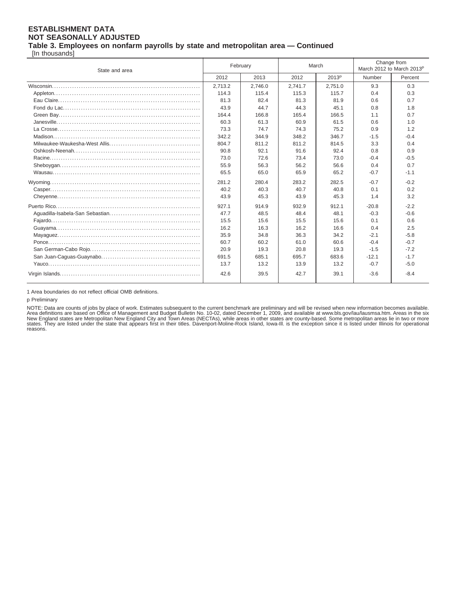[In thousands]

| State and area | February |         | March   |                   | Change from<br>March 2012 to March 2013 <sup>p</sup> |         |
|----------------|----------|---------|---------|-------------------|------------------------------------------------------|---------|
|                | 2012     | 2013    | 2012    | 2013 <sup>P</sup> | Number                                               | Percent |
|                | 2.713.2  | 2.746.0 | 2.741.7 | 2.751.0           | 9.3                                                  | 0.3     |
|                | 114.3    | 115.4   | 115.3   | 115.7             | 0.4                                                  | 0.3     |
|                | 81.3     | 82.4    | 81.3    | 81.9              | 0.6                                                  | 0.7     |
|                | 43.9     | 44.7    | 44.3    | 45.1              | 0.8                                                  | 1.8     |
|                | 164.4    | 166.8   | 165.4   | 166.5             | 1.1                                                  | 0.7     |
|                | 60.3     | 61.3    | 60.9    | 61.5              | 0.6                                                  | 1.0     |
|                | 73.3     | 74.7    | 74.3    | 75.2              | 0.9                                                  | 1.2     |
|                | 342.2    | 344.9   | 348.2   | 346.7             | $-1.5$                                               | $-0.4$  |
|                | 804.7    | 811.2   | 811.2   | 814.5             | 3.3                                                  | 0.4     |
|                | 90.8     | 92.1    | 91.6    | 92.4              | 0.8                                                  | 0.9     |
|                | 73.0     | 72.6    | 73.4    | 73.0              | $-0.4$                                               | $-0.5$  |
|                | 55.9     | 56.3    | 56.2    | 56.6              | 0.4                                                  | 0.7     |
|                | 65.5     | 65.0    | 65.9    | 65.2              | $-0.7$                                               | $-1.1$  |
|                | 281.2    | 280.4   | 283.2   | 282.5             | $-0.7$                                               | $-0.2$  |
|                | 40.2     | 40.3    | 40.7    | 40.8              | 0.1                                                  | 0.2     |
|                | 43.9     | 45.3    | 43.9    | 45.3              | 1.4                                                  | 3.2     |
|                | 927.1    | 914.9   | 932.9   | 912.1             | $-20.8$                                              | $-2.2$  |
|                | 47.7     | 48.5    | 48.4    | 48.1              | $-0.3$                                               | $-0.6$  |
|                | 15.5     | 15.6    | 15.5    | 15.6              | 0.1                                                  | 0.6     |
|                | 16.2     | 16.3    | 16.2    | 16.6              | 0.4                                                  | 2.5     |
|                | 35.9     | 34.8    | 36.3    | 34.2              | $-2.1$                                               | $-5.8$  |
|                | 60.7     | 60.2    | 61.0    | 60.6              | $-0.4$                                               | $-0.7$  |
|                | 20.9     | 19.3    | 20.8    | 19.3              | $-1.5$                                               | $-7.2$  |
|                | 691.5    | 685.1   | 695.7   | 683.6             | $-12.1$                                              | $-1.7$  |
|                | 13.7     | 13.2    | 13.9    | 13.2              | $-0.7$                                               | $-5.0$  |
|                | 42.6     | 39.5    | 42.7    | 39.1              | $-3.6$                                               | $-8.4$  |

1 Area boundaries do not reflect official OMB definitions.

p Preliminary

NOTE: Data are counts of jobs by place of work. Estimates subsequent to the current benchmark are preliminary and will be revised when new information becomes available.<br>Area definitions are based on Office of Management a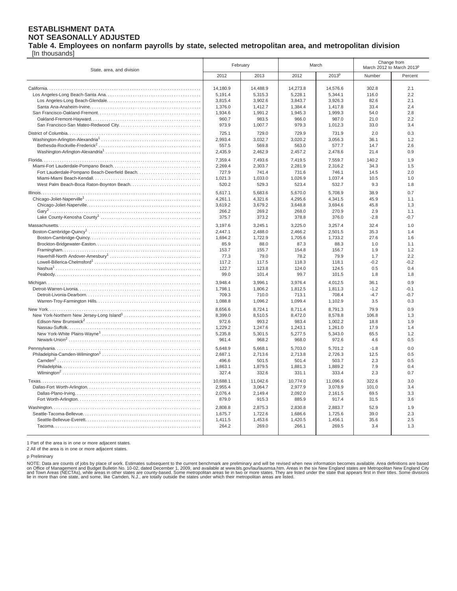### **Table 4. Employees on nonfarm payrolls by state, selected metropolitan area, and metropolitan division**

[In thousands]

| State, area, and division                     | February |                 | March           |                   | Change from<br>March 2012 to March 2013P |         |
|-----------------------------------------------|----------|-----------------|-----------------|-------------------|------------------------------------------|---------|
|                                               | 2012     | 2013            | 2012            | 2013 <sup>p</sup> | Number                                   | Percent |
|                                               | 14.180.9 | 14,488.9        | 14,273.8        | 14,576.6          | 302.8                                    | 2.1     |
|                                               | 5,191.4  | 5,315.3         | 5,228.1         | 5,344.1           | 116.0                                    | 2.2     |
|                                               |          |                 |                 |                   |                                          |         |
|                                               | 3,815.4  | 3,902.6         | 3,843.7         | 3,926.3           | 82.6                                     | 2.1     |
|                                               | 1,376.0  | 1,412.7         | 1,384.4         | 1,417.8           | 33.4                                     | 2.4     |
|                                               | 1,934.6  | 1,991.2         | 1,945.3         | 1,999.3           | 54.0                                     | 2.8     |
|                                               | 960.7    | 983.5           | 966.0           | 987.0             | 21.0                                     | 2.2     |
|                                               | 973.9    | 1,007.7         | 979.3           | 1,012.3           | 33.0                                     | 3.4     |
|                                               | 725.1    | 729.0           | 729.9           | 731.9             | 2.0                                      | 0.3     |
|                                               | 2,993.4  | 3,032.7         | 3,020.2         | 3,056.3           | 36.1                                     | 1.2     |
|                                               | 557.5    | 569.8           | 563.0           | 577.7             | 14.7                                     | 2.6     |
|                                               | 2,435.9  | 2,462.9         | 2,457.2         | 2,478.6           | 21.4                                     | 0.9     |
|                                               | 7,359.4  | 7.493.6         | 7.419.5         | 7,559.7           | 140.2                                    | 1.9     |
|                                               | 2,269.4  | 2,303.7         | 2,281.9         | 2,316.2           | 34.3                                     | 1.5     |
| Fort Lauderdale-Pompano Beach-Deerfield Beach | 727.9    | 741.4           | 731.6           | 746.1             | 14.5                                     | 2.0     |
|                                               | 1,021.3  | 1,033.0         | 1,026.9         | 1,037.4           | 10.5                                     | 1.0     |
| West Palm Beach-Boca Raton-Boynton Beach      | 520.2    | 529.3           | 523.4           | 532.7             | 9.3                                      | 1.8     |
|                                               | 5.617.1  | 5,683.6         | 5,670.0         | 5.708.9           | 38.9                                     | 0.7     |
|                                               | 4,261.1  | 4,321.6         | 4,295.6         | 4,341.5           | 45.9                                     | 1.1     |
|                                               | 3,619.2  | 3,679.2         | 3,648.8         | 3,694.6           | 45.8                                     | 1.3     |
|                                               | 266.2    | 269.2           | 268.0           | 270.9             | 2.9                                      | 1.1     |
|                                               | 375.7    | 373.2           | 378.8           | 376.0             | $-2.8$                                   | $-0.7$  |
|                                               | 3,197.6  | 3,245.1         | 3,225.0         | 3,257.4           | 32.4                                     | 1.0     |
|                                               | 2,447.1  | 2,488.0         | 2,466.2         | 2,501.5           | 35.3                                     | 1.4     |
|                                               | 1,694.2  |                 |                 | 1,733.2           | 27.6                                     | 1.6     |
|                                               | 85.9     | 1,722.9<br>88.0 | 1,705.6<br>87.3 | 88.3              | 1.0                                      | 1.1     |
|                                               |          |                 |                 |                   |                                          |         |
|                                               | 153.7    | 155.7           | 154.8           | 156.7             | 1.9                                      | 1.2     |
|                                               | 77.3     | 79.0            | 78.2            | 79.9              | 1.7                                      | 2.2     |
|                                               | 117.2    | 117.5           | 118.3           | 118.1             | $-0.2$                                   | $-0.2$  |
|                                               | 122.7    | 123.8           | 124.0           | 124.5             | 0.5                                      | 0.4     |
|                                               | 99.0     | 101.4           | 99.7            | 101.5             | 1.8                                      | 1.8     |
|                                               | 3,948.4  | 3,996.1         | 3,976.4         | 4,012.5           | 36.1                                     | 0.9     |
|                                               | 1,798.1  | 1,806.2         | 1,812.5         | 1,811.3           | $-1.2$                                   | $-0.1$  |
|                                               | 709.3    | 710.0           | 713.1           | 708.4             | $-4.7$                                   | $-0.7$  |
|                                               | 1,088.8  | 1,096.2         | 1,099.4         | 1,102.9           | 3.5                                      | 0.3     |
|                                               | 8,656.6  | 8,724.1         | 8,711.4         | 8,791.3           | 79.9                                     | 0.9     |
|                                               | 8,399.0  | 8,510.5         | 8,472.0         | 8,578.8           | 106.8                                    | 1.3     |
|                                               | 972.6    | 993.2           | 983.4           | 1,002.2           | 18.8                                     | 1.9     |
|                                               | 1,229.2  | 1,247.6         | 1,243.1         | 1,261.0           | 17.9                                     | 1.4     |
|                                               | 5,235.8  | 5,301.5         | 5,277.5         | 5,343.0           | 65.5                                     | 1.2     |
|                                               | 961.4    | 968.2           | 968.0           | 972.6             | 4.6                                      | 0.5     |
|                                               | 5,648.9  | 5,668.1         | 5,703.0         | 5,701.2           | $-1.8$                                   | 0.0     |
|                                               | 2,687.1  | 2,713.6         | 2,713.8         | 2,726.3           | 12.5                                     | 0.5     |
|                                               | 496.6    | 501.5           | 501.4           | 503.7             | 2.3                                      | 0.5     |
|                                               | 1,863.1  | 1,879.5         | 1,881.3         | 1,889.2           | 7.9                                      | 0.4     |
|                                               | 327.4    | 332.6           | 331.1           | 333.4             | 2.3                                      | 0.7     |
|                                               | 10,688.1 | 11,042.6        | 10,774.0        | 11,096.6          | 322.6                                    | 3.0     |
|                                               |          |                 |                 |                   |                                          |         |
|                                               | 2,955.4  | 3,064.7         | 2,977.9         | 3,078.9           | 101.0                                    | 3.4     |
|                                               | 2,076.4  | 2.149.4         | 2,092.0         | 2,161.5           | 69.5                                     | 3.3     |
|                                               | 879.0    | 915.3           | 885.9           | 917.4             | 31.5                                     | 3.6     |
|                                               | 2.808.8  | 2,875.3         | 2,830.8         | 2,883.7           | 52.9                                     | 1.9     |
|                                               | 1,675.7  | 1,722.6         | 1,686.6         | 1,725.6           | 39.0                                     | 2.3     |
|                                               | 1,411.5  | 1,453.6         | 1,420.5         | 1,456.1           | 35.6                                     | 2.5     |
|                                               | 264.2    | 269.0           | 266.1           | 269.5             | 3.4                                      | 1.3     |

1 Part of the area is in one or more adjacent states.

2 All of the area is in one or more adjacent states.

p Preliminary

NOTE: Data are counts of jobs by place of work. Estimates subsequent to the current benchmark are preliminary and will be revised when new information becomes available. Area definitions are based<br>on Office of Management a